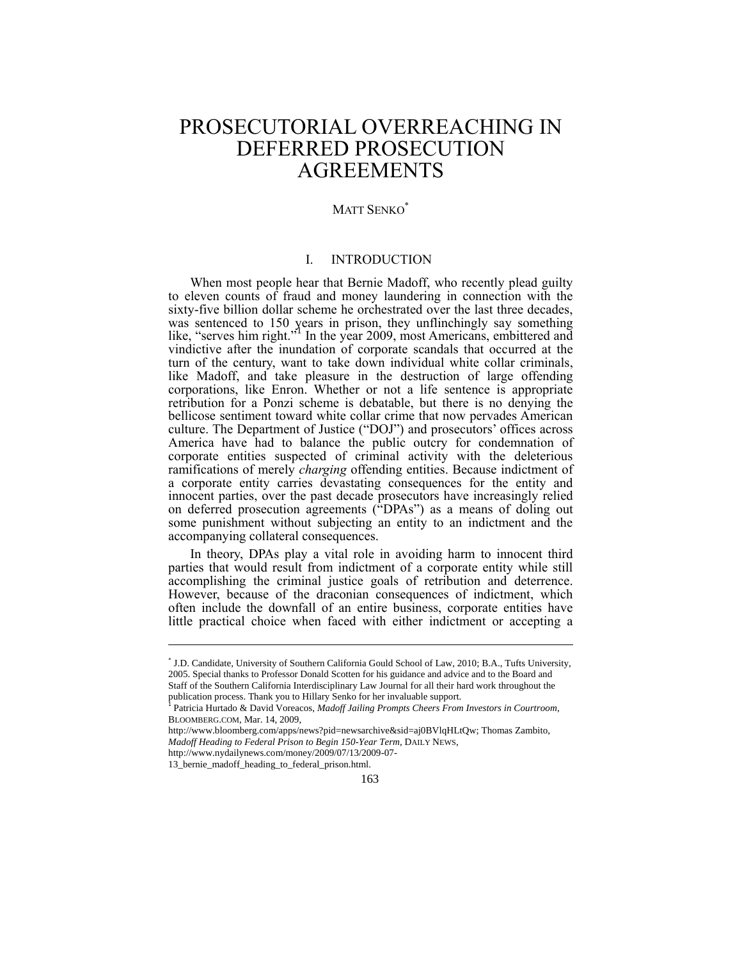# PROSECUTORIAL OVERREACHING IN DEFERRED PROSECUTION **AGREEMENTS**

# MATT SENKO\*

# I. INTRODUCTION

When most people hear that Bernie Madoff, who recently plead guilty to eleven counts of fraud and money laundering in connection with the sixty-five billion dollar scheme he orchestrated over the last three decades, was sentenced to 150 years in prison, they unflinchingly say something like, "serves him right." In the year 2009, most Americans, embittered and vindictive after the inundation of corporate scandals that occurred at the turn of the century, want to take down individual white collar criminals, like Madoff, and take pleasure in the destruction of large offending corporations, like Enron. Whether or not a life sentence is appropriate retribution for a Ponzi scheme is debatable, but there is no denying the bellicose sentiment toward white collar crime that now pervades American culture. The Department of Justice ("DOJ") and prosecutors' offices across America have had to balance the public outcry for condemnation of corporate entities suspected of criminal activity with the deleterious ramifications of merely *charging* offending entities. Because indictment of a corporate entity carries devastating consequences for the entity and innocent parties, over the past decade prosecutors have increasingly relied on deferred prosecution agreements ("DPAs") as a means of doling out some punishment without subjecting an entity to an indictment and the accompanying collateral consequences.

In theory, DPAs play a vital role in avoiding harm to innocent third parties that would result from indictment of a corporate entity while still accomplishing the criminal justice goals of retribution and deterrence. However, because of the draconian consequences of indictment, which often include the downfall of an entire business, corporate entities have little practical choice when faced with either indictment or accepting a

<sup>\*</sup> J.D. Candidate, University of Southern California Gould School of Law, 2010; B.A., Tufts University, 2005. Special thanks to Professor Donald Scotten for his guidance and advice and to the Board and Staff of the Southern California Interdisciplinary Law Journal for all their hard work throughout the publication process. Thank you to Hillary Senko for her invaluable support.<br><sup>1</sup> Petricia Unrtede, & David Venesses, *Madeff, Isiline Proquets Chases Front* 

Patricia Hurtado & David Voreacos, *Madoff Jailing Prompts Cheers From Investors in Courtroom*, BLOOMBERG.COM, Mar. 14, 2009,

http://www.bloomberg.com/apps/news?pid=newsarchive&sid=aj0BVlqHLtQw; Thomas Zambito, *Madoff Heading to Federal Prison to Begin 150-Year Term*, DAILY NEWS, http://www.nydailynews.com/money/2009/07/13/2009-07-

<sup>13</sup>\_bernie\_madoff\_heading\_to\_federal\_prison.html.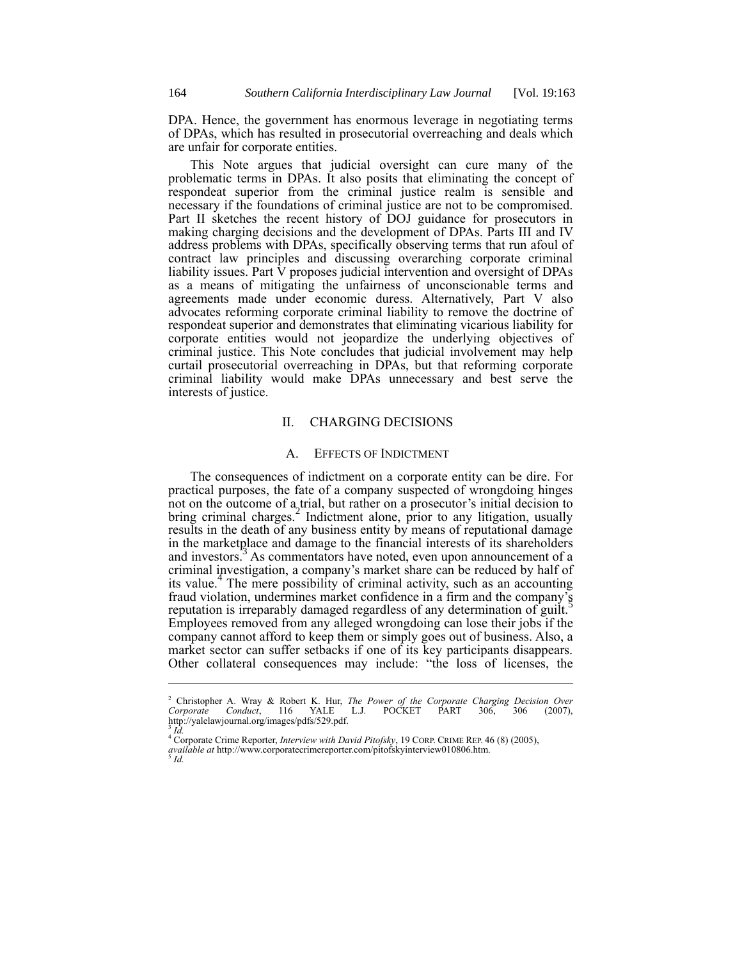DPA. Hence, the government has enormous leverage in negotiating terms of DPAs, which has resulted in prosecutorial overreaching and deals which are unfair for corporate entities.

This Note argues that judicial oversight can cure many of the problematic terms in DPAs. It also posits that eliminating the concept of respondeat superior from the criminal justice realm is sensible and necessary if the foundations of criminal justice are not to be compromised. Part II sketches the recent history of DOJ guidance for prosecutors in making charging decisions and the development of DPAs. Parts III and IV address problems with DPAs, specifically observing terms that run afoul of contract law principles and discussing overarching corporate criminal liability issues. Part V proposes judicial intervention and oversight of DPAs as a means of mitigating the unfairness of unconscionable terms and agreements made under economic duress. Alternatively, Part V also advocates reforming corporate criminal liability to remove the doctrine of respondeat superior and demonstrates that eliminating vicarious liability for corporate entities would not jeopardize the underlying objectives of criminal justice. This Note concludes that judicial involvement may help curtail prosecutorial overreaching in DPAs, but that reforming corporate criminal liability would make DPAs unnecessary and best serve the interests of justice.

### II. CHARGING DECISIONS

### A. EFFECTS OF INDICTMENT

The consequences of indictment on a corporate entity can be dire. For practical purposes, the fate of a company suspected of wrongdoing hinges not on the outcome of a trial, but rather on a prosecutor's initial decision to bring criminal charges.<sup>2</sup> Indictment alone, prior to any litigation, usually results in the death of any business entity by means of reputational damage in the marketplace and damage to the financial interests of its shareholders and investors.<sup>3</sup> As commentators have noted, even upon announcement of a criminal investigation, a company's market share can be reduced by half of In the mere possibility of criminal activity, such as an accounting its value.<sup>4</sup> The mere possibility of criminal activity, such as an accounting fraud violation, undermines market confidence in a firm and the company's reputation is irreparably damaged regardless of any determination of guilt.<sup>5</sup> Employees removed from any alleged wrongdoing can lose their jobs if the company cannot afford to keep them or simply goes out of business. Also, a market sector can suffer setbacks if one of its key participants disappears. Other collateral consequences may include: "the loss of licenses, the

<sup>2</sup> Christopher A. Wray & Robert K. Hur, *The Power of the Corporate Charging Decision Over Corporate Conduct*, 116 YALE L.J. POCKET PART 306, 306 (2007), http://yalelawjournal.org/images/pdfs/529.pdf. *Id.*

<sup>&</sup>lt;sup>47</sup>Corporate Crime Reporter, *Interview with David Pitofsky*, 19 CORP. CRIME REP. 46 (8) (2005), *available at* http://www.corporatecrimereporter.com/pitofskyinterview010806.htm. 5 *Id.*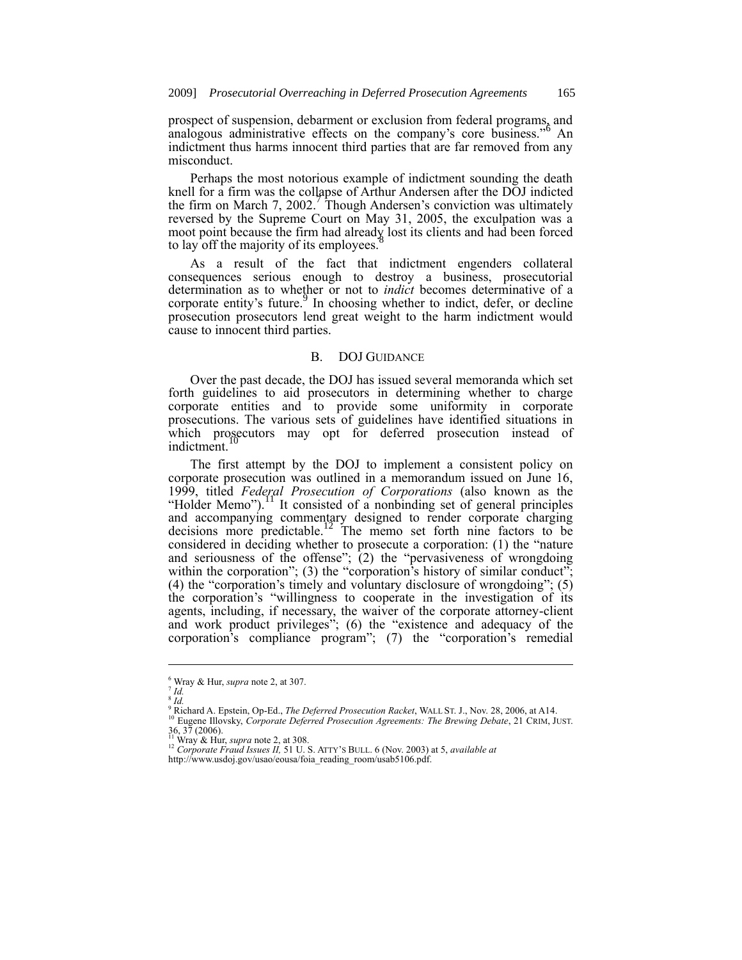prospect of suspension, debarment or exclusion from federal programs, and analogous administrative effects on the company's core business."<sup>6</sup> An indictment thus harms innocent third parties that are far removed from any misconduct.

Perhaps the most notorious example of indictment sounding the death knell for a firm was the collapse of Arthur Andersen after the DOJ indicted the firm on March 7, 2002. Though Andersen's conviction was ultimately reversed by the Supreme Court on May 31, 2005, the exculpation was a moot point because the firm had already lost its clients and had been forced to lay off the majority of its employees.<sup>8</sup>

As a result of the fact that indictment engenders collateral consequences serious enough to destroy a business, prosecutorial determination as to whether or not to *indict* becomes determinative of a corporate entity's future. In choosing whether to indict, defer, or decline prosecution prosecutors lend great weight to the harm indictment would cause to innocent third parties.

### B. DOJ GUIDANCE

Over the past decade, the DOJ has issued several memoranda which set forth guidelines to aid prosecutors in determining whether to charge corporate entities and to provide some uniformity in corporate prosecutions. The various sets of guidelines have identified situations in which prosecutors may opt for deferred prosecution instead of indictment.

The first attempt by the DOJ to implement a consistent policy on corporate prosecution was outlined in a memorandum issued on June 16, 1999, titled *Federal Prosecution of Corporations* (also known as the "Holder Memo").<sup>11</sup> It consisted of a nonbinding set of general principles and accompanying commentary designed to render corporate charging decisions more predictable.<sup>12</sup> The memo set forth nine factors to be considered in deciding whether to prosecute a corporation: (1) the "nature and seriousness of the offense"; (2) the "pervasiveness of wrongdoing within the corporation"; (3) the "corporation's history of similar conduct"; (4) the "corporation's timely and voluntary disclosure of wrongdoing"; (5) the corporation's "willingness to cooperate in the investigation of its agents, including, if necessary, the waiver of the corporate attorney-client and work product privileges"; (6) the "existence and adequacy of the corporation's compliance program"; (7) the "corporation's remedial

1

<sup>6</sup> Wray & Hur, *supra* note 2, at 307.

<sup>7</sup> *Id.* 8 *Id.*

<sup>9</sup> Richard A. Epstein, Op-Ed., *The Deferred Prosecution Racket*, WALL ST. J., Nov. 28, 2006, at A14. <sup>10</sup> Eugene Illovsky, *Corporate Deferred Prosecution Agreements: The Brewing Debate*, 21 CRIM, JUST.

<sup>36, 37 (2006).</sup> <sup>11</sup> Wray & Hur, *supra* note 2, at 308. <sup>12</sup> *Corporate Fraud Issues II,* 51 U. S. ATTY'S BULL. 6 (Nov. 2003) at 5, *available at*

http://www.usdoj.gov/usao/eousa/foia\_reading\_room/usab5106.pdf.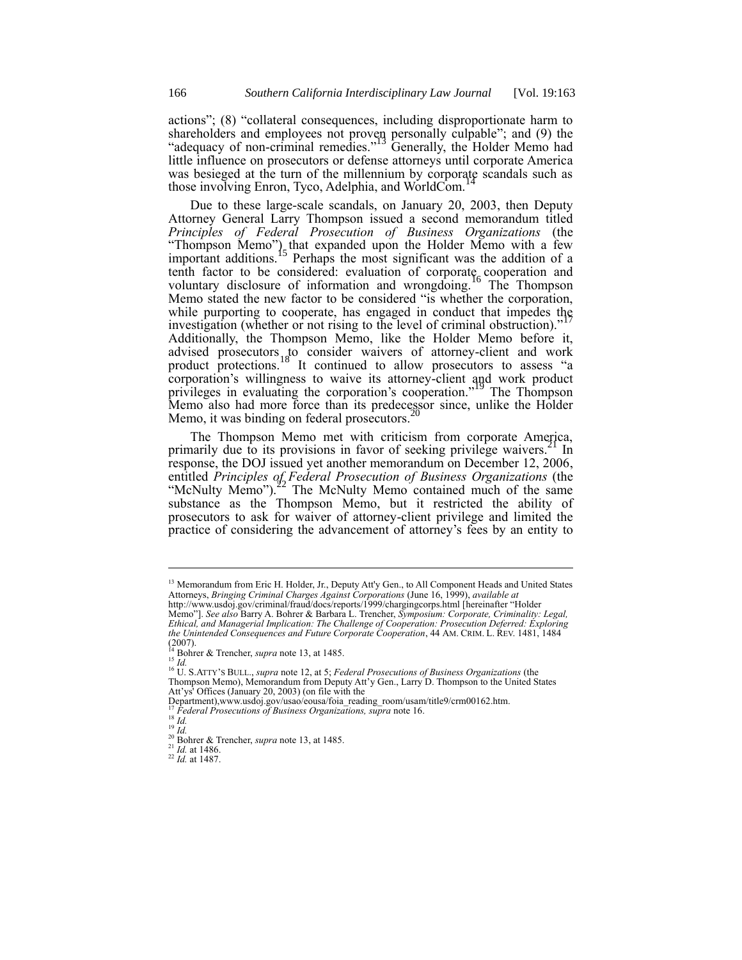actions"; (8) "collateral consequences, including disproportionate harm to shareholders and employees not proven personally culpable"; and (9) the "adequacy of non-criminal remedies."<sup>13</sup> Generally, the Holder Memo had little influence on prosecutors or defense attorneys until corporate America was besieged at the turn of the millennium by corporate scandals such as those involving Enron, Tyco, Adelphia, and WorldCom.<sup>1</sup>

Due to these large-scale scandals, on January 20, 2003, then Deputy Attorney General Larry Thompson issued a second memorandum titled *Principles of Federal Prosecution of Business Organizations* (the "Thompson Memo") that expanded upon the Holder Memo with a few important additions.<sup>15</sup> Perhaps the most significant was the addition of a tenth factor to be considered: evaluation of corporate cooperation and voluntary disclosure of information and wrongdoing.<sup>16</sup> The Thompson Memo stated the new factor to be considered "is whether the corporation, while purporting to cooperate, has engaged in conduct that impedes the investigation (whether or not rising to the level of criminal obstruction)." Additionally, the Thompson Memo, like the Holder Memo before it, advised prosecutors to consider waivers of attorney-client and work product protections.<sup>18</sup> It continued to allow prosecutors to assess "a corporation's willingness to waive its attorney-client and work product privileges in evaluating the corporation's cooperation."<sup>19</sup> The Thompson Memo also had more force than its predecessor since, unlike the Holder Mamo it was hinding on formal preception  $20$ Memo, it was binding on federal prosecutors.

The Thompson Memo met with criticism from corporate America, primarily due to its provisions in favor of seeking privilege waivers.<sup>21</sup> In response, the DOJ issued yet another memorandum on December 12, 2006, entitled *Principles of Federal Prosecution of Business Organizations* (the "McNulty Memo"). $22$  The McNulty Memo contained much of the same substance as the Thompson Memo, but it restricted the ability of prosecutors to ask for waiver of attorney-client privilege and limited the practice of considering the advancement of attorney's fees by an entity to

<sup>15</sup> *Id.*

-

<sup>18</sup> *Id.* <sup>19</sup> *Id.*

<sup>&</sup>lt;sup>13</sup> Memorandum from Eric H. Holder, Jr., Deputy Att'y Gen., to All Component Heads and United States Attorneys, *Bringing Criminal Charges Against Corporations* (June 16, 1999), *available at* http://www.usdoj.gov/criminal/fraud/docs/reports/1999/chargingcorps.html [hereinafter "Holder

Memo"]. *See also* Barry A. Bohrer & Barbara L. Trencher, *Symposium: Corporate, Criminality: Legal, Ethical, and Managerial Implication: The Challenge of Cooperation: Prosecution Deferred: Exploring the Unintended Consequences and Future Corporate Cooperation*, 44 AM. CRIM. L. REV. 1481, 1484  $(2007)$ .

<sup>14</sup> Bohrer & Trencher, *supra* note 13, at 1485.

<sup>16</sup> U. S.ATTY'S BULL., *supra* note 12, at 5; *Federal Prosecutions of Business Organizations* (the Thompson Memo), Memorandum from Deputy Att'y Gen., Larry D. Thompson to the United States Att'ys' Offices (January 20, 2003) (on file with the

Department),www.usdoj.gov/usao/eousa/foia\_reading\_room/usam/title9/crm00162.htm.

<sup>17</sup> *Federal Prosecutions of Business Organizations, supra* note 16.

<sup>20</sup> Bohrer & Trencher, *supra* note 13, at 1485.

 $^{21}$  *Id.* at 1486.

<sup>22</sup> *Id.* at 1487.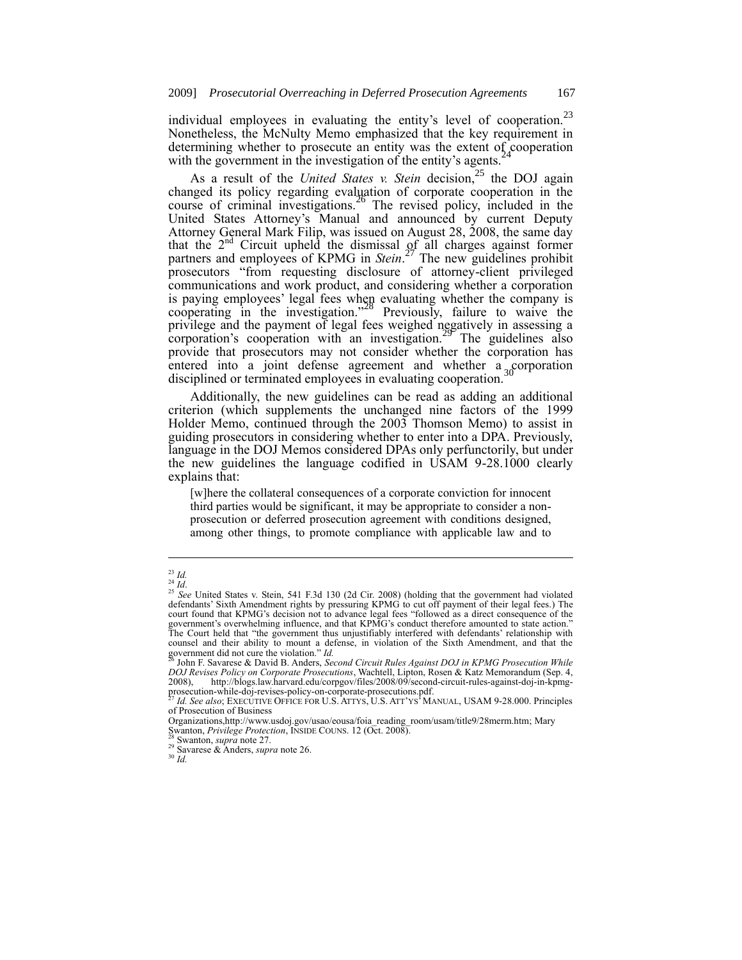individual employees in evaluating the entity's level of cooperation.<sup>23</sup> Nonetheless, the McNulty Memo emphasized that the key requirement in determining whether to prosecute an entity was the extent of cooperation with the government in the investigation of the entity's agents.<sup>24</sup>

As a result of the *United States v. Stein* decision,<sup>25</sup> the DOJ again changed its policy regarding evaluation of corporate cooperation in the course of criminal investigations.<sup>26</sup> The revised policy, included in the United States Attorney's Manual and announced by current Deputy Attorney General Mark Filip, was issued on August 28, 2008, the same day that the  $2<sup>nd</sup>$  Circuit upheld the dismissal of all charges against former partners and employees of KPMG in *Stein*.<sup>27</sup> The new guidelines prohibit prosecutors "from requesting disclosure of attorney-client privileged communications and work product, and considering whether a corporation is paying employees' legal fees when evaluating whether the company is cooperating in the investigation."<sup>28</sup> Previously, failure to waive the privilege and the payment of legal fees weighed negatively in assessing a corporation's cooperation with an investigation.<sup>29</sup> The guidelines also provide that prosecutors may not consider whether the corporation has entered into a joint defense agreement and whether a corporation disciplined or terminated employees in evaluating cooperation.<sup>30</sup>

Additionally, the new guidelines can be read as adding an additional criterion (which supplements the unchanged nine factors of the 1999 Holder Memo, continued through the 2003 Thomson Memo) to assist in guiding prosecutors in considering whether to enter into a DPA. Previously, language in the DOJ Memos considered DPAs only perfunctorily, but under the new guidelines the language codified in USAM 9-28.1000 clearly explains that:

[w]here the collateral consequences of a corporate conviction for innocent third parties would be significant, it may be appropriate to consider a nonprosecution or deferred prosecution agreement with conditions designed, among other things, to promote compliance with applicable law and to

<sup>23</sup> *Id.*

<sup>24</sup> *Id*.

<sup>&</sup>lt;sup>25</sup> See United States v. Stein, 541 F.3d 130 (2d Cir. 2008) (holding that the government had violated defendants' Sixth Amendment rights by pressuring KPMG to cut off payment of their legal fees.) The court found that KPMG's decision not to advance legal fees "followed as a direct consequence of the government's overwhelming influence, and that KPMG's conduct therefore amounted to state action." The Court held that "the government thus unjustifiably interfered with defendants' relationship with counsel and their ability to mount a defense, in violation of the Sixth Amendment, and that the government did not cure the violation." *Id.* <sup>26</sup> John F. Savarese & David B. Anders, *Second Circuit Rules Against DOJ in KPMG Prosecution While* 

*DOJ Revises Policy on Corporate Prosecutions*, Wachtell, Lipton, Rosen & Katz Memorandum (Sep. 4, http://blogs.law.harvard.edu/corpgov/files/2008/09/second-circuit-rules-against-doj-in-kpmgprosecution-while-doj-revises-policy-on-corporate-prosecutions.pdf. <sup>27</sup> *Id. See also*; EXECUTIVE OFFICE FOR U.S. ATTYS, U.S. ATT'YS'MANUAL, USAM 9-28.000. Principles

of Prosecution of Business

Organizations,http://www.usdoj.gov/usao/eousa/foia\_reading\_room/usam/title9/28merm.htm; Mary Swanton, *Privilege Protection*, INSIDE COUNS. 12 (Oct. 2008).

Swanton, *supra* note 27.

<sup>29</sup> Savarese & Anders, *supra* note 26.

 $^{30}$   $\bar{I}d.$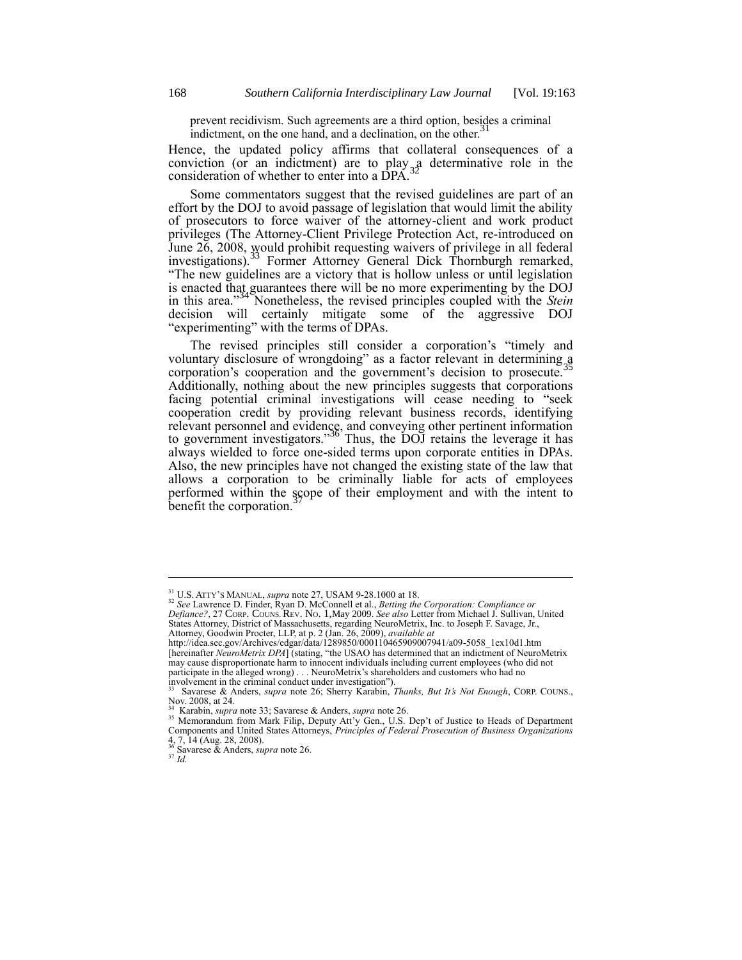prevent recidivism. Such agreements are a third option, besides a criminal indictment on the sense hand and a declination are the other 31 indictment, on the one hand, and a declination, on the other.

Hence, the updated policy affirms that collateral consequences of a conviction (or an indictment) are to play  $a<sub>3</sub>$  determinative role in the consideration of whether to enter into a DPA.

Some commentators suggest that the revised guidelines are part of an effort by the DOJ to avoid passage of legislation that would limit the ability of prosecutors to force waiver of the attorney-client and work product privileges (The Attorney-Client Privilege Protection Act, re-introduced on June 26, 2008, would prohibit requesting waivers of privilege in all federal investigations).<sup>33</sup> Former Attorney General Dick Thornburgh remarked, "The new guidelines are a victory that is hollow unless or until legislation is enacted that guarantees there will be no more experimenting by the DOJ in this area."<sup>34</sup> Nonetheless, the revised principles coupled with the *Stein* decision will certainly mitigate some of the aggressive DOJ "experimenting" with the terms of DPAs.

The revised principles still consider a corporation's "timely and voluntary disclosure of wrongdoing" as a factor relevant in determining a corporation's cooperation and the government's decision to prosecute.<sup>3</sup> Additionally, nothing about the new principles suggests that corporations facing potential criminal investigations will cease needing to "seek cooperation credit by providing relevant business records, identifying relevant personnel and evidence, and conveying other pertinent information<br>to government investigators."<sup>36</sup> Thus, the DOJ retains the leverage it has always wielded to force one-sided terms upon corporate entities in DPAs. Also, the new principles have not changed the existing state of the law that allows a corporation to be criminally liable for acts of employees performed within the scope of their employment and with the intent to benefit the corporation.

1

<sup>31</sup> U.S. ATTY'S MANUAL, *supra* note 27, USAM 9-28.1000 at 18.

<sup>32</sup> *See* Lawrence D. Finder, Ryan D. McConnell et al., *Betting the Corporation: Compliance or Defiance?*, 27 CORP. COUNS. REV. NO. 1,May 2009. *See also* Letter from Michael J. Sullivan, United States Attorney, District of Massachusetts, regarding NeuroMetrix, Inc. to Joseph F. Savage, Jr., Attorney, Goodwin Procter, LLP, at p. 2 (Jan. 26, 2009), *available at* 

http://idea.sec.gov/Archives/edgar/data/1289850/000110465909007941/a09-5058\_1ex10d1.htm [hereinafter *NeuroMetrix DPA*] (stating, "the USAO has determined that an indictment of NeuroMetrix may cause disproportionate harm to innocent individuals including current employees (who did not participate in the alleged wrong) . . . NeuroMetrix's shareholders and customers who had no

involvement in the criminal conduct under investigation"). <sup>33</sup> [Savarese & Anders,](http://blogs.law.harvard.edu/corpgov/files/2008/09/second-circuit-rules-against-doj-in-kpmg-prosecution-while-doj-revises-policy-on-corporate-prosecutions.pdf) *supra* note 26; Sherry Karabin, *Thanks, But It's Not Enough*, CORP. COUNS., Nov. 2008, at 24.

<sup>&</sup>lt;sup>34</sup> Karabin, *supra* note 33; [Savarese & Anders,](http://blogs.law.harvard.edu/corpgov/files/2008/09/second-circuit-rules-against-doj-in-kpmg-prosecution-while-doj-revises-policy-on-corporate-prosecutions.pdf) *supra* note 26.<br><sup>35</sup> Memorandum from Mark Filip, Deputy Att'y Gen., U.S. Dep't of Justice to Heads of Department<br>Components and United States Attorneys, *Principles of Fed* 4, 7, 14 (Aug. 28, 2008). <sup>36</sup> Savarese & Anders, *supra* note 26.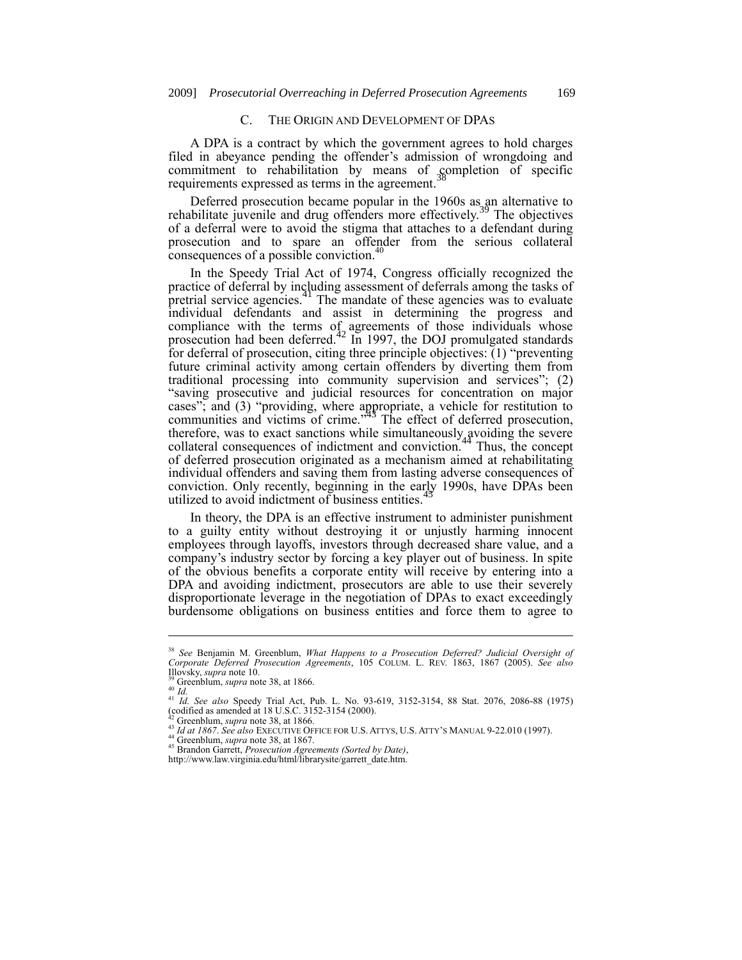## C. THE ORIGIN AND DEVELOPMENT OF DPAS

A DPA is a contract by which the government agrees to hold charges filed in abeyance pending the offender's admission of wrongdoing and commitment to rehabilitation by means of completion of specific requirements expressed as terms in the agreement.<sup>38</sup>

Deferred prosecution became popular in the 1960s as an alternative to rehabilitate juvenile and drug offenders more effectively.<sup>39</sup> The objectives of a deferral were to avoid the stigma that attaches to a defendant during prosecution and to spare an offender from the serious collateral consequences of a possible conviction.<sup>40</sup>

In the Speedy Trial Act of 1974, Congress officially recognized the practice of deferral by including assessment of deferrals among the tasks of pretrial service agencies.<sup>41</sup> The mandate of these agencies was to evaluate individual defendants and assist in determining the progress and compliance with the terms of agreements of those individuals whose prosecution had been deferred.<sup>42</sup> In 1997, the DOJ promulgated standards for deferral of prosecution, citing three principle objectives:  $(1)$  "preventing future criminal activity among certain offenders by diverting them from traditional processing into community supervision and services"; (2) "saving prosecutive and judicial resources for concentration on major cases"; and (3) "providing, where appropriate, a vehicle for restitution to communities and victims of crime." <sup>43</sup> The effect of deferred prosecution, therefore, was to exact sanctions while simultaneously avoiding the severe collateral consequences of indictment and conviction.<sup>44</sup> Thus, the concept of deferred prosecution originated as a mechanism aimed at rehabilitating individual offenders and saving them from lasting adverse consequences of conviction. Only recently, beginning in the early 1990s, have DPAs been utilized to avoid indictment of business entities.<sup>4</sup>

In theory, the DPA is an effective instrument to administer punishment to a guilty entity without destroying it or unjustly harming innocent employees through layoffs, investors through decreased share value, and a company's industry sector by forcing a key player out of business. In spite of the obvious benefits a corporate entity will receive by entering into a DPA and avoiding indictment, prosecutors are able to use their severely disproportionate leverage in the negotiation of DPAs to exact exceedingly burdensome obligations on business entities and force them to agree to

1

<sup>38</sup> *See* Benjamin M. Greenblum, *What Happens to a Prosecution Deferred? Judicial Oversight of Corporate Deferred Prosecution Agreements*, 105 COLUM. L. REV. 1863, 1867 (2005). *See also* Illovsky, *supra* note 10.

<sup>39</sup> Greenblum, *supra* note 38, at 1866. <sup>40</sup> *Id.*  <sup>41</sup> *Id. See also* Speedy Trial Act, Pub. L. No. 93-619, 3152-3154, 88 Stat. 2076, 2086-88 (1975) (codified as amended at 18 U.S.C. 3152-3154 (2000). <sup>42</sup> Greenblum, *supra* note 38, at 1866.

<sup>43</sup> *Id at 1867*. *See also* EXECUTIVE OFFICE FOR U.S. ATTYS, U.S. ATTY'S MANUAL 9-22.010 (1997).

<sup>44</sup> Greenblum, *supra* note 38, at 1867.

<sup>45</sup> Brandon Garrett, *Prosecution Agreements (Sorted by Date)*,

http://www.law.virginia.edu/html/librarysite/garrett\_date.htm.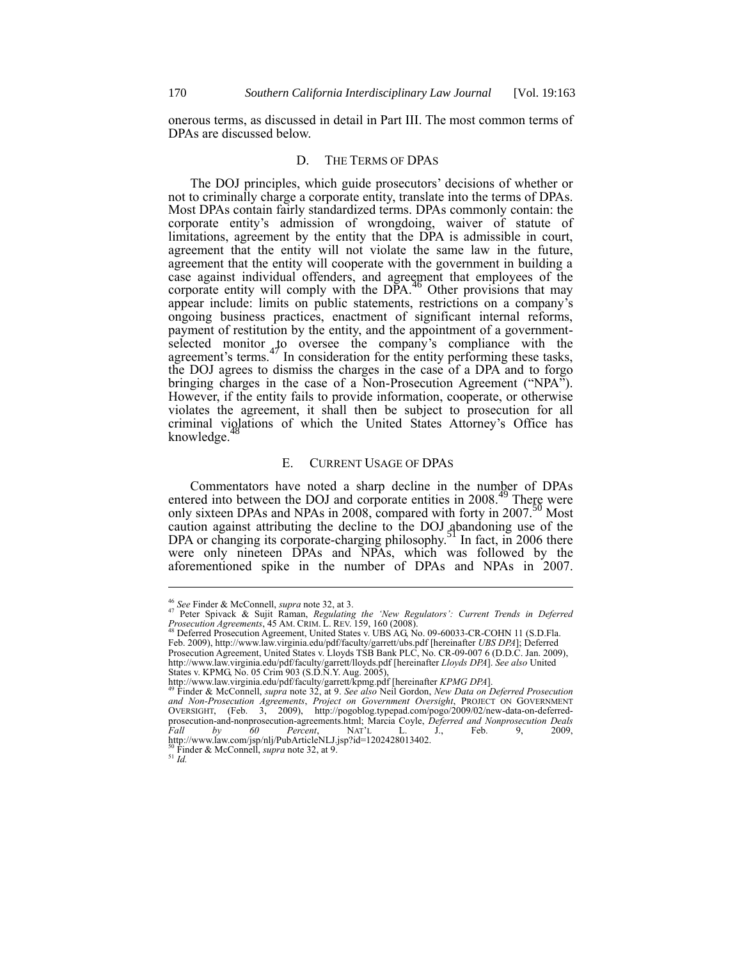onerous terms, as discussed in detail in Part III. The most common terms of DPAs are discussed below.

## D. THE TERMS OF DPAS

The DOJ principles, which guide prosecutors' decisions of whether or not to criminally charge a corporate entity, translate into the terms of DPAs. Most DPAs contain fairly standardized terms. DPAs commonly contain: the corporate entity's admission of wrongdoing, waiver of statute of limitations, agreement by the entity that the DPA is admissible in court, agreement that the entity will not violate the same law in the future, agreement that the entity will cooperate with the government in building a case against individual offenders, and agreement that employees of the corporate entity will comply with the DPA.<sup>46</sup> Other provisions that may appear include: limits on public statements, restrictions on a company's ongoing business practices, enactment of significant internal reforms, payment of restitution by the entity, and the appointment of a governmentselected monitor to oversee the company's compliance with the agreement's terms.<sup>47</sup> In consideration for the entity performing these tasks, the DOJ agrees to dismiss the charges in the case of a DPA and to forgo bringing charges in the case of a Non-Prosecution Agreement ("NPA"). However, if the entity fails to provide information, cooperate, or otherwise violates the agreement, it shall then be subject to prosecution for all criminal violations of which the United States Attorney's Office has knowledge.<sup>4</sup>

#### E. CURRENT USAGE OF DPAS

Commentators have noted a sharp decline in the number of DPAs entered into between the DOJ and corporate entities in 2008.<sup>49</sup> There were only sixteen DPAs and NPAs in 2008, compared with forty in 2007.<sup>50</sup> Most caution against attributing the decline to the DOJ abandoning use of the DPA or changing its corporate-charging philosophy.<sup>51</sup> In fact, in 2006 there were only nineteen DPAs and NPAs, which was followed by the aforementioned spike in the number of DPAs and NPAs in 2007.

<sup>51</sup> *Id.*

<sup>46</sup> *See* Finder & McConnell, *supra* note 32, at 3. <sup>47</sup> Peter Spivack & Sujit Raman, *Regulating the 'New Regulators': Current Trends in Deferred Prosecution Agreements*, 45 AM. CRIM. L. REV. 159, 160 (2008). <sup>48</sup> Deferred Prosecution Agreement, United States v. UBS AG, No. 09-60033-CR-COHN 11 (S.D.Fla.

Feb. 2009), http://www.law.virginia.edu/pdf/faculty/garrett/ubs.pdf [hereinafter *UBS DPA*]; Deferred Prosecution Agreement, United States v. Lloyds TSB Bank PLC, No. CR-09-007 6 (D.D.C. Jan. 2009), http://www.law.virginia.edu/pdf/faculty/garrett/lloyds.pdf [hereinafter *Lloyds DPA*]. *See also* United States v. KPMG, No. 05 Crim 903 (S.D.N.Y. Aug. 2005),

http://www.law.virginia.edu/pdf/faculty/garrett/kpmg.pdf [hereinafter *KPMG DPA*]. <sup>49</sup> Finder & McConnell, *supra* note 32, at 9. *See also* Neil Gordon, *New Data on Deferred Prosecution* 

*and Non-Prosecution Agreements*, *Project on Government Oversight*, PROJECT ON GOVERNMENT OVERSIGHT, (Feb. 3, 2009), http://pogoblog.typepad.com/pogo/2009/02/new-data-on-deferred-<br>prosecution-and-nonprosecution-agreements.html; Marcia Coyle, *Deferred and Nonprosecution Deals*<br>Fall by 60 Percent, NAT'L L. J., F http://www.law.com/jsp/nlj/PubArticleNLJ.jsp?id=1202428013402. <sup>50</sup> Finder & McConnell, *supra* note 32, at 9.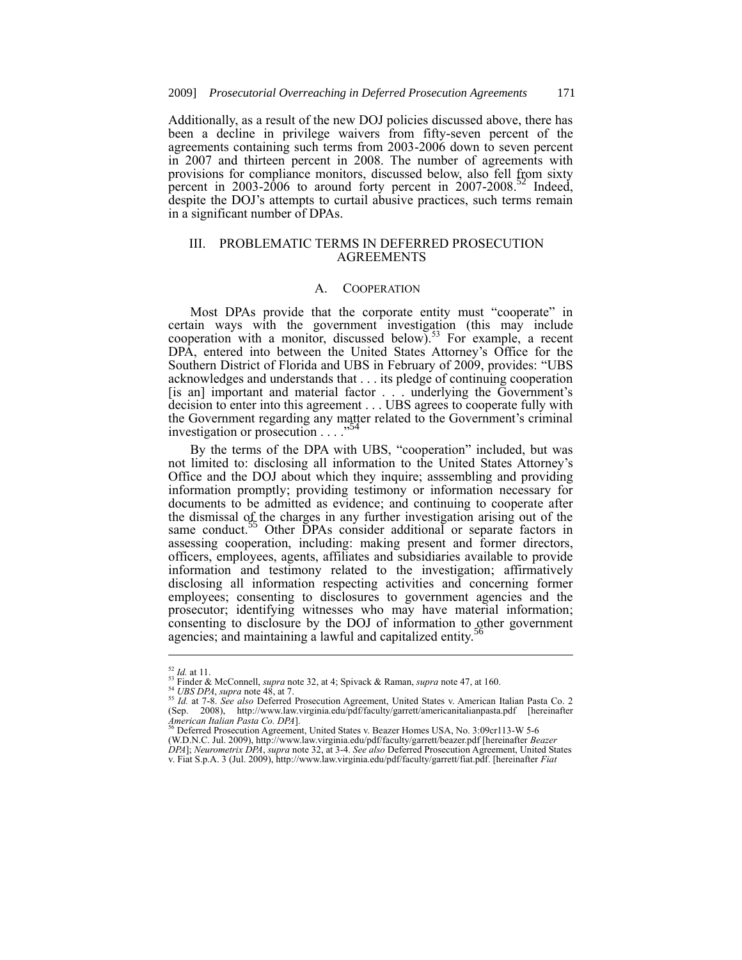Additionally, as a result of the new DOJ policies discussed above, there has been a decline in privilege waivers from fifty-seven percent of the agreements containing such terms from 2003-2006 down to seven percent in 2007 and thirteen percent in 2008. The number of agreements with provisions for compliance monitors, discussed below, also fell from sixty percent in 2003-2006 to around forty percent in  $2007-2008$ <sup>32</sup> Indeed, despite the DOJ's attempts to curtail abusive practices, such terms remain in a significant number of DPAs.

## III. PROBLEMATIC TERMS IN DEFERRED PROSECUTION AGREEMENTS

## A. COOPERATION

Most DPAs provide that the corporate entity must "cooperate" in certain ways with the government investigation (this may include cooperation with a monitor, discussed below).<sup>53</sup> For example, a recent DPA, entered into between the United States Attorney's Office for the Southern District of Florida and UBS in February of 2009, provides: "UBS acknowledges and understands that . . . its pledge of continuing cooperation [is an] important and material factor . . . underlying the Government's decision to enter into this agreement . . . UBS agrees to cooperate fully with the Government regarding any matter related to the Government's criminal investigation or processition. investigation or prosecution . . . . "

By the terms of the DPA with UBS, "cooperation" included, but was not limited to: disclosing all information to the United States Attorney's Office and the DOJ about which they inquire; asssembling and providing information promptly; providing testimony or information necessary for documents to be admitted as evidence; and continuing to cooperate after the dismissal of the charges in any further investigation arising out of the same conduct.<sup>55</sup> Other DPAs consider additional or separate factors in assessing cooperation, including: making present and former directors, officers, employees, agents, affiliates and subsidiaries available to provide information and testimony related to the investigation; affirmatively disclosing all information respecting activities and concerning former employees; consenting to disclosures to government agencies and the prosecutor; identifying witnesses who may have material information; consenting to disclosure by the DOJ of information to other government agencies; and maintaining a lawful and capitalized entity.

<sup>52</sup> *Id.* at 11.

<sup>53</sup> Finder & McConnell, *supra* note 32, at 4; Spivack & Raman, *supra* note 47, at 160.

<sup>54</sup> *UBS DPA*, *supra* note 48, at 7. <sup>55</sup> *Id.* at 7-8. *See also* Deferred Prosecution Agreement, United States v. American Italian Pasta Co. 2 (Sep. 2008), http://www.law.virginia.edu/pdf/faculty/garrett/americanitalianpasta.pdf [hereinafter *American Italian Pasta Co. DPA*].<br>*American Italian Pasta Co. DPA*].<br><sup>56</sup> Deferred Prosecution Agreement, United States v.

<sup>(</sup>W.D.N.C. Jul. 2009), http://www.law.virginia.edu/pdf/faculty/garrett/beazer.pdf [hereinafter *Beazer*<br>DPA]; Neurometrix DPA, supra note 32, at 3-4. See also Deferred Prosecution Agreement, United States v. Fiat S.p.A. 3 (Jul. 2009), http://www.law.virginia.edu/pdf/faculty/garrett/fiat.pdf. [hereinafter *Fiat*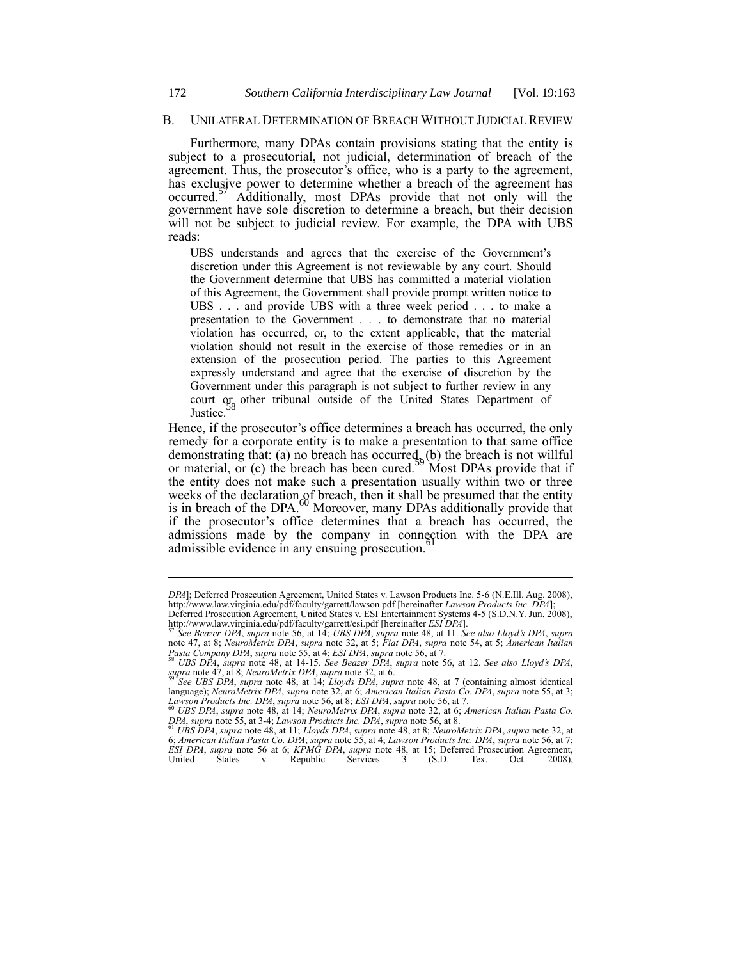#### B. UNILATERAL DETERMINATION OF BREACH WITHOUT JUDICIAL REVIEW

Furthermore, many DPAs contain provisions stating that the entity is subject to a prosecutorial, not judicial, determination of breach of the agreement. Thus, the prosecutor's office, who is a party to the agreement, has exclusive power to determine whether a breach of the agreement has occurred.<sup>57</sup> Additionally, most DPAs provide that not only will the government have sole discretion to determine a breach, but their decision will not be subject to judicial review. For example, the DPA with UBS reads:

UBS understands and agrees that the exercise of the Government's discretion under this Agreement is not reviewable by any court. Should the Government determine that UBS has committed a material violation of this Agreement, the Government shall provide prompt written notice to UBS . . . and provide UBS with a three week period . . . to make a presentation to the Government . . . to demonstrate that no material violation has occurred, or, to the extent applicable, that the material violation should not result in the exercise of those remedies or in an extension of the prosecution period. The parties to this Agreement expressly understand and agree that the exercise of discretion by the Government under this paragraph is not subject to further review in any court or other tribunal outside of the United States Department of Justice.

Hence, if the prosecutor's office determines a breach has occurred, the only remedy for a corporate entity is to make a presentation to that same office demonstrating that: (a) no breach has occurred, (b) the breach is not willful or material, or (c) the breach has been cured.<sup>59</sup> Most DPAs provide that if the entity does not make such a presentation usually within two or three weeks of the declaration of breach, then it shall be presumed that the entity is in breach of the DPA.<sup>60</sup> Moreover, many DPAs additionally provide that if the prosecutor's office determines that a breach has occurred, the admissions made by the company in connection with the DPA are admissible evidence in any ensuing prosecution.<sup>6</sup>

1

*DPA*]; Deferred Prosecution Agreement, United States v. Lawson Products Inc. 5-6 (N.E.Ill. Aug. 2008), http://www.law.virginia.edu/pdf/faculty/garrett/lawson.pdf [hereinafter *Lawson Products Inc. DPA*]; Deferred Prosecution Agreement, United States v. ESI Entertainment Systems 4-5 (S.D.N.Y. Jun. 2008),

http://www.law.virginia.edu/pdf/faculty/garrett/esi.pdf [hereinafter *ESI DPA*].<br><sup>57</sup> See Beazer DPA, supra note 56, at 14; UBS DPA, supra note 48, at 11. See also Lloyd's DPA, supra note 47, at 8; *NeuroMetrix DPA*, *supra* note 32, at 5; *Fiat DPA*, *supra* note 54, at 5; *American Italian* 

Pasta Company DPA, supra note 55, at 4; ESI DPA, supra note 56, at 7.<br><sup>58</sup> UBS DPA, supra note 48, at 14-15. See Beazer DPA, supra note 56, at 12. See also Lloyd's DPA, *supra* note 47, at 8; *NeuroMetrix DPA*, *supra* note 32, at 6.

<sup>&</sup>lt;sup>59</sup> See UBS DPA, supra note 48, at 14; Lloyds DPA, supra note 48, at 7 (containing almost identical language); NeuroMetrix DPA, supra note 32, at 6; American Italian Pasta Co. DPA, supra note 55, at 3; Lawson Products Inc

<sup>&</sup>lt;sup>60</sup> UBS DPA, supra note 48, at 14; NeuroMetrix DPA, supra note 32, at 6; American Italian Pasta Co.<br>DPA, supra note 55, at 3-4; Lawson Products Inc. DPA, supra note 56, at 8.<br><sup>61</sup> UBS DPA, supra note 48, at 11; Lloyds DPA

<sup>6;</sup> *American Italian Pasta Co. DPA*, *supra* note 55, at 4; *Lawson Products Inc. DPA*, *supra* note 56, at 7; *ESI DPA*, *supra* note 56 at 6; *KPMG DPA*, *supra* note 48, at 15; Deferred Prosecution Agreement, United Sta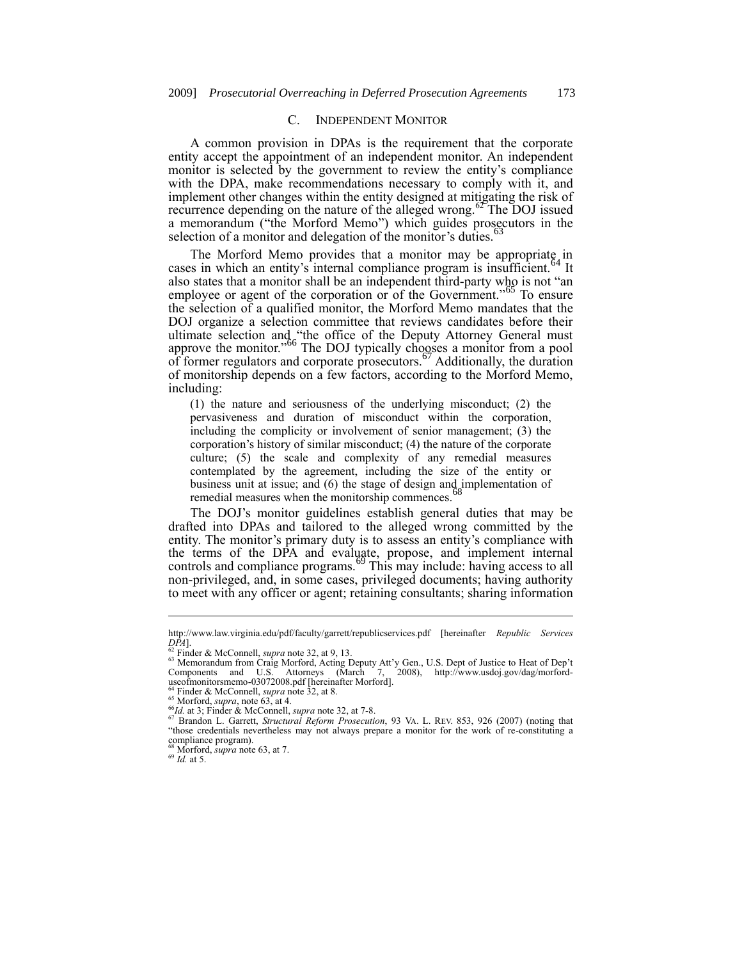## C. INDEPENDENT MONITOR

A common provision in DPAs is the requirement that the corporate entity accept the appointment of an independent monitor. An independent monitor is selected by the government to review the entity's compliance with the DPA, make recommendations necessary to comply with it, and implement other changes within the entity designed at mitigating the risk of recurrence depending on the nature of the alleged wrong.<sup>62</sup> The DOJ issued a memorandum ("the Morford Memo") which guides prosecutors in the selection of a monitor and delegation of the monitor's duties.

The Morford Memo provides that a monitor may be appropriate in es in which an entity's internal compliance program is insufficient.<sup>64</sup> It cases in which an entity's internal compliance program is insufficient. $\frac{104}{100}$ also states that a monitor shall be an independent third-party who is not "an employee or agent of the corporation or of the Government."<sup>65</sup> To ensure the selection of a qualified monitor, the Morford Memo mandates that the DOJ organize a selection committee that reviews candidates before their ultimate selection and "the office of the Deputy Attorney General must approve the monitor."<sup>66</sup> The DOJ typically chogses a monitor from a pool of former regulators and corporate prosecutors.<sup>67</sup> Additionally, the duration of monitorship depends on a few factors, according to the Morford Memo, including:

(1) the nature and seriousness of the underlying misconduct; (2) the pervasiveness and duration of misconduct within the corporation, including the complicity or involvement of senior management; (3) the corporation's history of similar misconduct; (4) the nature of the corporate culture; (5) the scale and complexity of any remedial measures contemplated by the agreement, including the size of the entity or business unit at issue; and (6) the stage of design and implementation of remedial measures when the monitorship commences.

The DOJ's monitor guidelines establish general duties that may be drafted into DPAs and tailored to the alleged wrong committed by the entity. The monitor's primary duty is to assess an entity's compliance with the terms of the DPA and evaluate, propose, and implement internal controls and compliance programs.<sup>69</sup> This may include: having access to all non-privileged, and, in some cases, privileged documents; having authority to meet with any officer or agent; retaining consultants; sharing information

<sup>69</sup> *Id.* at 5.

http://www.law.virginia.edu/pdf/faculty/garrett/republicservices.pdf [hereinafter *Republic Services DPA*]. <sup>62</sup> Finder & McConnell, *supra* note 32, at 9, 13.

<sup>&</sup>lt;sup>63</sup> Memorandum from Craig Morford, Acting Deputy Att'y Gen., U.S. Dept of Justice to Heat of Dep't Components and U.S. Attorneys (March 7, 2008), http://www.usdoj.gov/dag/morforduseofmonitorsmemo-03072008.pdf [hereinafter Morford]. <sup>64</sup> Finder & McConnell, *supra* note 32, at 8.

<sup>65</sup> Morford, *supra*, note 63, at 4.

<sup>66</sup>*Id.* at 3; Finder & McConnell, *supra* note 32, at 7-8. <sup>67</sup> Brandon L. Garrett, *Structural Reform Prosecution*, 93 VA. L. REV. 853, 926 (2007) (noting that "those credentials nevertheless may not always prepare a monitor for the work of re-constituting a compliance program). <sup>68</sup> Morford, *supra* note 63, at 7.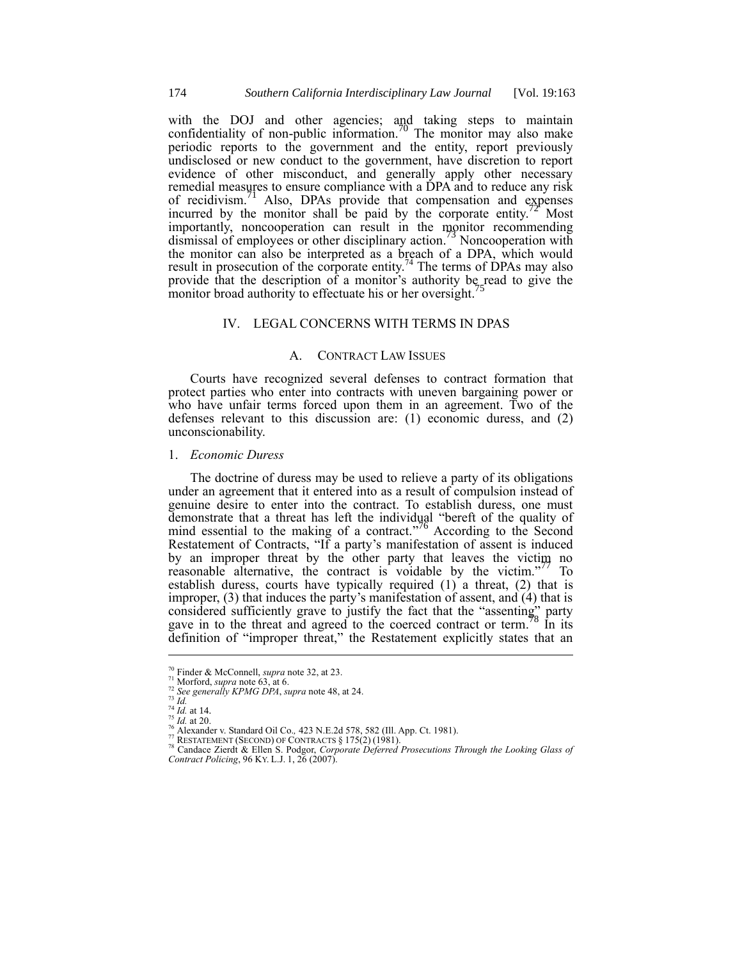with the DOJ and other agencies; and taking steps to maintain confidentiality of non-public information.<sup>70</sup> The monitor may also make periodic reports to the government and the entity, report previously undisclosed or new conduct to the government, have discretion to report evidence of other misconduct, and generally apply other necessary remedial measures to ensure compliance with a DPA and to reduce any risk of recidivism.<sup>71</sup> Also, DPAs provide that compensation and expenses incurred by the monitor shall be paid by the corporate entity.<sup> $2\pi$ </sup> Most importantly, noncooperation can result in the monitor recommending dismissal of employees or other disciplinary action.<sup>73</sup> Noncooperation with the monitor can also be interpreted as a breach of a DPA, which would result in prosecution of the corporate entity.<sup>74</sup> The terms of DPAs may also provide that the description of a monitor's authority be read to give the monitor broad authority to effectuate his or her oversight.

## IV. LEGAL CONCERNS WITH TERMS IN DPAS

## A. CONTRACT LAW ISSUES

Courts have recognized several defenses to contract formation that protect parties who enter into contracts with uneven bargaining power or who have unfair terms forced upon them in an agreement. Two of the defenses relevant to this discussion are: (1) economic duress, and (2) unconscionability.

## 1. *Economic Duress*

The doctrine of duress may be used to relieve a party of its obligations under an agreement that it entered into as a result of compulsion instead of genuine desire to enter into the contract. To establish duress, one must demonstrate that a threat has left the individual "bereft of the quality of mind essential to the making of a contract.<sup>776</sup> According to the Second Restatement of Contracts, "If a party's manifestation of assent is induced by an improper threat by the other party that leaves the victim no reasonable alternative, the contract is voidable by the victim."<sup>77</sup> To establish duress, courts have typically required (1) a threat, (2) that is improper, (3) that induces the party's manifestation of assent, and (4) that is considered sufficiently grave to justify the fact that the "assenting" party gave in to the threat and agreed to the coerced contract or term.<sup>8</sup> In its definition of "improper threat," the Restatement explicitly states that an

<sup>70</sup> Finder & McConnell, *supra* note 32, at 23.

 $71$  Morford, *supra* note 63, at 6.

<sup>72</sup> *See generally KPMG DPA*, *supra* note 48, at 24.

<sup>73</sup> *Id.*

 $^{74}$  *Id.* at 14.  $^{75}$  *Id.* at 20.

<sup>76</sup> Alexander v. Standard Oil Co.*,* 423 N.E.2d 578, 582 (Ill. App. Ct. 1981).

<sup>77</sup> RESTATEMENT (SECOND) OF CONTRACTS § 175(2) (1981). <sup>78</sup> Candace Zierdt & Ellen S. Podgor, *Corporate Deferred Prosecutions Through the Looking Glass of Contract Policing*, 96 KY. L.J. 1, 26 (2007).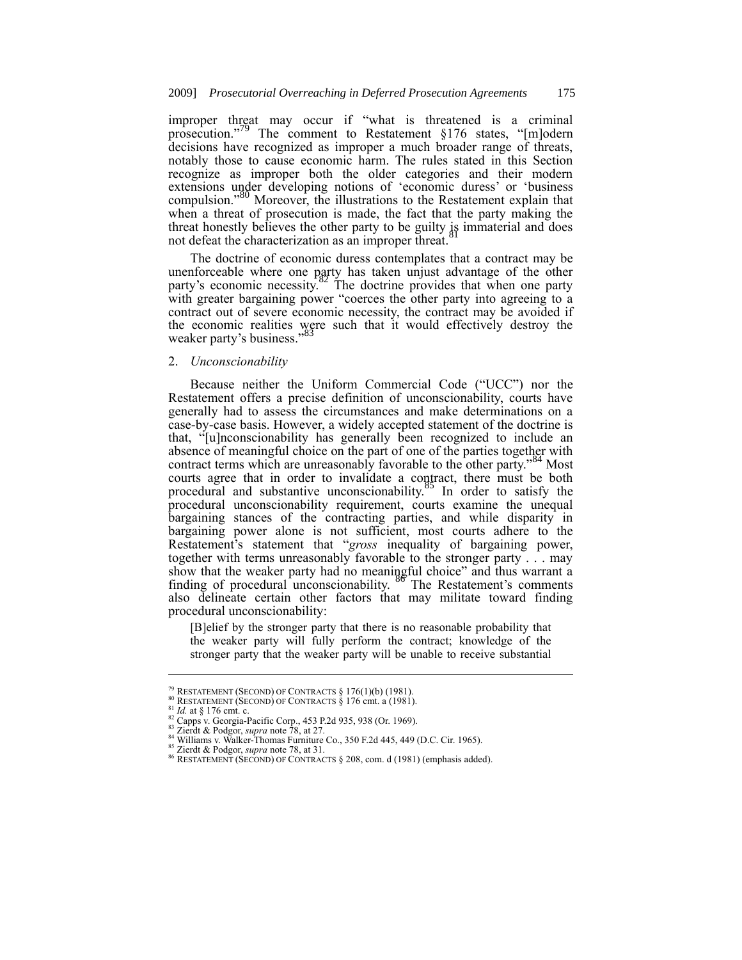improper threat may occur if "what is threatened is a criminal prosecution."<sup>79</sup> The comment to Restatement  $§176$  states, "[m]odern decisions have recognized as improper a much broader range of threats, notably those to cause economic harm. The rules stated in this Section recognize as improper both the older categories and their modern extensions under developing notions of 'economic duress' or 'business compulsion.<sup>80</sup> Moreover, the illustrations to the Restatement explain that when a threat of prosecution is made, the fact that the party making the threat honestly believes the other party to be guilty is immaterial and does not defeat the characterization as an improper threat.

The doctrine of economic duress contemplates that a contract may be unenforceable where one party has taken unjust advantage of the other party's economic necessity.<sup>82</sup> The doctrine provides that when one party with greater bargaining power "coerces the other party into agreeing to a contract out of severe economic necessity, the contract may be avoided if the economic realities were such that it would effectively destroy the weaker party's business."<sup>83</sup>

## 2. *Unconscionability*

Because neither the Uniform Commercial Code ("UCC") nor the Restatement offers a precise definition of unconscionability, courts have generally had to assess the circumstances and make determinations on a case-by-case basis. However, a widely accepted statement of the doctrine is that, "[u]nconscionability has generally been recognized to include an absence of meaningful choice on the part of one of the parties together with contract terms which are unreasonably favorable to the other party.<sup>54</sup> Most courts agree that in order to invalidate a contract, there must be both procedural and substantive unconscionability.<sup>85</sup> In order to satisfy the procedural unconscionability requirement, courts examine the unequal bargaining stances of the contracting parties, and while disparity in bargaining power alone is not sufficient, most courts adhere to the Restatement's statement that "*gross* inequality of bargaining power, together with terms unreasonably favorable to the stronger party . . . may show that the weaker party had no meaningful choice" and thus warrant a finding of procedural unconscionability.  $8\sigma$  The Restatement's comments also delineate certain other factors that may militate toward finding procedural unconscionability:

[B]elief by the stronger party that there is no reasonable probability that the weaker party will fully perform the contract; knowledge of the stronger party that the weaker party will be unable to receive substantial

<sup>&</sup>lt;sup>79</sup> RESTATEMENT (SECOND) OF CONTRACTS  $§$  176(1)(b) (1981).

 $80$  RESTATEMENT (SECOND) OF CONTRACTS  $\frac{8}{9}$  176 cmt. a (1981).

<sup>&</sup>lt;sup>81</sup> *Id.* at § 176 cmt. c.<br><sup>82</sup> Capps v. Georgia-Pacific Corp., 453 P.2d 935, 938 (Or. 1969).<br><sup>83</sup> Zierdt & Podgor, *supra* note 78, at 27.

 $84$  Williams v. Walker-Thomas Furniture Co., 350 F.2d 445, 449 (D.C. Cir. 1965).

<sup>85</sup> Zierdt & Podgor, *supra* note 78, at 31.

<sup>86</sup> RESTATEMENT (SECOND) OF CONTRACTS § 208, com. d (1981) (emphasis added).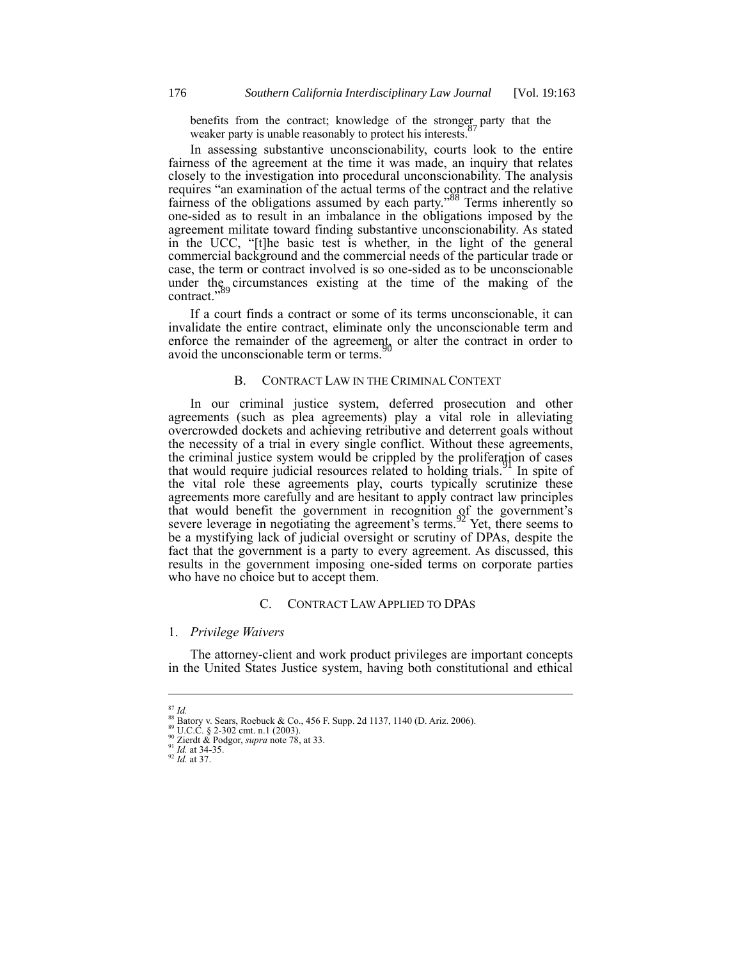benefits from the contract; knowledge of the stronger party that the weaker party is unable reasonably to protect his interests.<sup>9</sup>

In assessing substantive unconscionability, courts look to the entire fairness of the agreement at the time it was made, an inquiry that relates closely to the investigation into procedural unconscionability. The analysis requires "an examination of the actual terms of the contract and the relative fairness of the obligations assumed by each party."<sup>88</sup> Terms inherently so one-sided as to result in an imbalance in the obligations imposed by the agreement militate toward finding substantive unconscionability. As stated in the UCC, "[t]he basic test is whether, in the light of the general commercial background and the commercial needs of the particular trade or case, the term or contract involved is so one-sided as to be unconscionable under the circumstances existing at the time of the making of the contract.'

If a court finds a contract or some of its terms unconscionable, it can invalidate the entire contract, eliminate only the unconscionable term and enforce the remainder of the agreement, or alter the contract in order to avoid the unconscionable term or terms.<sup>9</sup>

## B. CONTRACT LAW IN THE CRIMINAL CONTEXT

In our criminal justice system, deferred prosecution and other agreements (such as plea agreements) play a vital role in alleviating overcrowded dockets and achieving retributive and deterrent goals without the necessity of a trial in every single conflict. Without these agreements, the criminal justice system would be crippled by the proliferation of cases that would require judicial resources related to holding trials.<sup>91</sup> In spite of the vital role these agreements play, courts typically scrutinize these agreements more carefully and are hesitant to apply contract law principles that would benefit the government in recognition of the government's severe leverage in negotiating the agreement's terms.<sup>92</sup> Yet, there seems to be a mystifying lack of judicial oversight or scrutiny of DPAs, despite the fact that the government is a party to every agreement. As discussed, this results in the government imposing one-sided terms on corporate parties who have no choice but to accept them.

#### C. CONTRACT LAW APPLIED TO DPAS

### 1. *Privilege Waivers*

The attorney-client and work product privileges are important concepts in the United States Justice system, having both constitutional and ethical

<sup>1</sup> <sup>87</sup> *Id.*

<sup>&</sup>lt;sup>88</sup> Batory v. Sears, Roebuck & Co., 456 F. Supp. 2d 1137, 1140 (D. Ariz. 2006).<br><sup>89</sup> U.C.C. § 2-302 cmt. n.1 (2003).

<sup>90</sup> Zierdt & Podgor, *supra* note 78, at 33.

<sup>91</sup> *Id.* at 34-35.

<sup>92</sup> *Id.* at 37.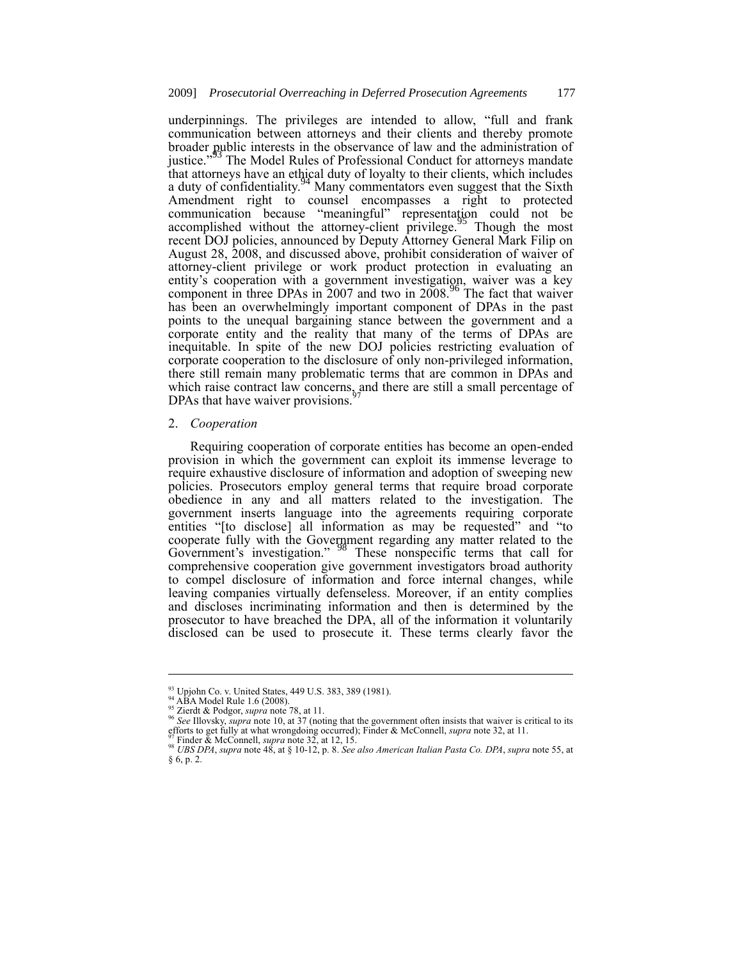underpinnings. The privileges are intended to allow, "full and frank communication between attorneys and their clients and thereby promote broader public interests in the observance of law and the administration of justice."<sup>93</sup> The Model Rules of Professional Conduct for attorneys mandate that attorneys have an ethical duty of loyalty to their clients, which includes a duty of confidentiality.<sup>94</sup> Many commentators even suggest that the Sixth Amendment right to counsel encompasses a right to protected communication because "meaningful" representation could not be accomplished without the attorney-client privilege.<sup>95</sup> Though the most recent DOJ policies, announced by Deputy Attorney General Mark Filip on August 28, 2008, and discussed above, prohibit consideration of waiver of attorney-client privilege or work product protection in evaluating an entity's cooperation with a government investigation, waiver was a key component in three DPAs in  $2007$  and two in  $2008$ .<sup>66</sup> The fact that waiver has been an overwhelmingly important component of DPAs in the past points to the unequal bargaining stance between the government and a corporate entity and the reality that many of the terms of DPAs are inequitable. In spite of the new DOJ policies restricting evaluation of corporate cooperation to the disclosure of only non-privileged information, there still remain many problematic terms that are common in DPAs and which raise contract law concerns, and there are still a small percentage of DPAs that have waiver provisions.<sup>9</sup>

### 2. *Cooperation*

Requiring cooperation of corporate entities has become an open-ended provision in which the government can exploit its immense leverage to require exhaustive disclosure of information and adoption of sweeping new policies. Prosecutors employ general terms that require broad corporate obedience in any and all matters related to the investigation. The government inserts language into the agreements requiring corporate entities "[to disclose] all information as may be requested" and "to cooperate fully with the Government regarding any matter related to the Government's investigation." <sup>98</sup> These nonspecific terms that call for comprehensive cooperation give government investigators broad authority to compel disclosure of information and force internal changes, while leaving companies virtually defenseless. Moreover, if an entity complies and discloses incriminating information and then is determined by the prosecutor to have breached the DPA, all of the information it voluntarily disclosed can be used to prosecute it. These terms clearly favor the

<sup>93</sup> Upjohn Co. v. United States, 449 U.S. 383, 389 (1981).

<sup>94</sup> ABA Model Rule 1.6 (2008).

<sup>95</sup> Zierdt & Podgor, *supra* note 78, at 11.

<sup>96</sup> *See* Illovsky, *supra* note 10, at 37 (noting that the government often insists that waiver is critical to its efforts to get fully at what wrongdoing occurred); Finder & McConnell, *supra* note 32, at 11.

<sup>97</sup> Finder & McConnell, *supra* note 32, at 12, 15. <sup>98</sup> *UBS DPA*, *supra* note 48, at § 10-12, p. 8. *See also American Italian Pasta Co. DPA*, *supra* note 55, at § 6, p. 2.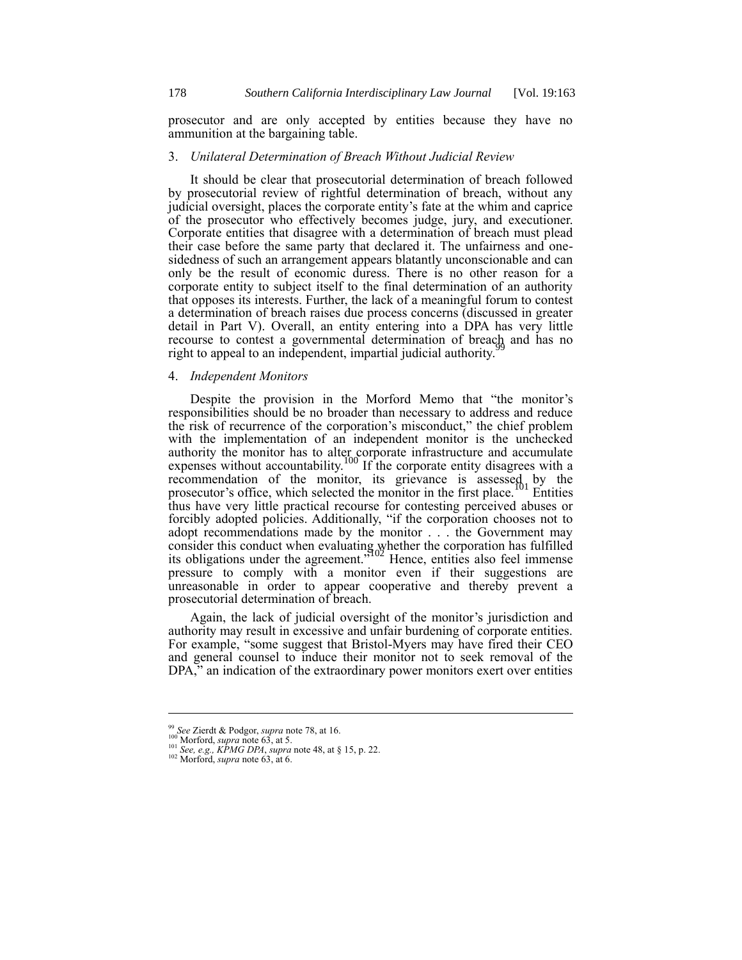prosecutor and are only accepted by entities because they have no ammunition at the bargaining table.

#### 3. *Unilateral Determination of Breach Without Judicial Review*

It should be clear that prosecutorial determination of breach followed by prosecutorial review of rightful determination of breach, without any judicial oversight, places the corporate entity's fate at the whim and caprice of the prosecutor who effectively becomes judge, jury, and executioner. Corporate entities that disagree with a determination of breach must plead their case before the same party that declared it. The unfairness and onesidedness of such an arrangement appears blatantly unconscionable and can only be the result of economic duress. There is no other reason for a corporate entity to subject itself to the final determination of an authority that opposes its interests. Further, the lack of a meaningful forum to contest a determination of breach raises due process concerns (discussed in greater detail in Part V). Overall, an entity entering into a DPA has very little recourse to contest a governmental determination of breach and has no right to appeal to an independent, impartial judicial authority.<sup>9</sup>

## 4. *Independent Monitors*

Despite the provision in the Morford Memo that "the monitor's responsibilities should be no broader than necessary to address and reduce the risk of recurrence of the corporation's misconduct," the chief problem with the implementation of an independent monitor is the unchecked authority the monitor has to alter corporate infrastructure and accumulate expenses without accountability.<sup>100</sup> If the corporate entity disagrees with a recommendation of the monitor, its grievance is assessed by the prosecutor's office, which selected the monitor in the first place.<sup>[01</sup>] Entities thus have very little practical recourse for contesting perceived abuses or forcibly adopted policies. Additionally, "if the corporation chooses not to adopt recommendations made by the monitor . . . the Government may consider this conduct when evaluating whether the corporation has fulfilled its obligations under the agreement.<sup> $2102$ </sup> Hence, entities also feel immense pressure to comply with a monitor even if their suggestions are unreasonable in order to appear cooperative and thereby prevent a prosecutorial determination of breach.

Again, the lack of judicial oversight of the monitor's jurisdiction and authority may result in excessive and unfair burdening of corporate entities. For example, "some suggest that Bristol-Myers may have fired their CEO and general counsel to induce their monitor not to seek removal of the DPA," an indication of the extraordinary power monitors exert over entities

<sup>99</sup> *See* Zierdt & Podgor, *supra* note 78, at 16.

<sup>100</sup> Morford, *supra* note 63, at 5. <sup>101</sup> *See, e.g., KPMG DPA*, *supra* note 48, at § 15, p. 22. <sup>102</sup> Morford, *supra* note 63, at 6.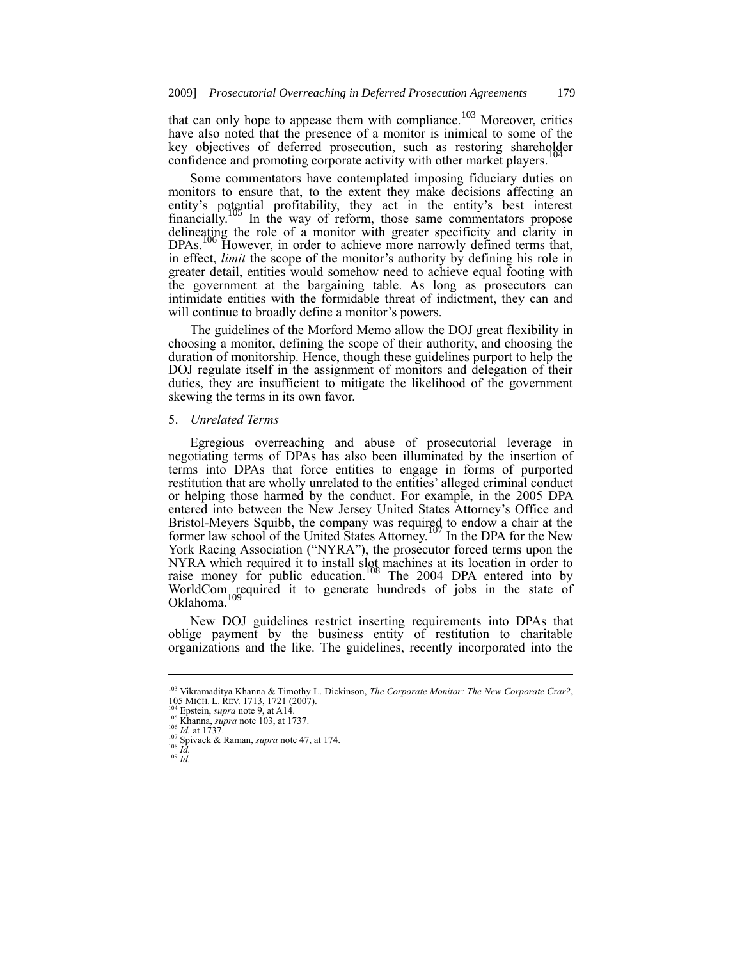that can only hope to appease them with compliance.<sup>103</sup> Moreover, critics have also noted that the presence of a monitor is inimical to some of the key objectives of deferred prosecution, such as restoring shareholder confidence and promoting corporate activity with other market players.

Some commentators have contemplated imposing fiduciary duties on monitors to ensure that, to the extent they make decisions affecting an entity's potential profitability, they act in the entity's best interest financially. <sup>105</sup> In the way of reform, those same commentators propose delineating the role of a monitor with greater specificity and clarity in DPAs.<sup>106</sup> However, in order to achieve more narrowly defined terms that, in effect, *limit* the scope of the monitor's authority by defining his role in greater detail, entities would somehow need to achieve equal footing with the government at the bargaining table. As long as prosecutors can intimidate entities with the formidable threat of indictment, they can and will continue to broadly define a monitor's powers.

The guidelines of the Morford Memo allow the DOJ great flexibility in choosing a monitor, defining the scope of their authority, and choosing the duration of monitorship. Hence, though these guidelines purport to help the DOJ regulate itself in the assignment of monitors and delegation of their duties, they are insufficient to mitigate the likelihood of the government skewing the terms in its own favor.

# 5. *Unrelated Terms*

Egregious overreaching and abuse of prosecutorial leverage in negotiating terms of DPAs has also been illuminated by the insertion of terms into DPAs that force entities to engage in forms of purported restitution that are wholly unrelated to the entities' alleged criminal conduct or helping those harmed by the conduct. For example, in the 2005 DPA entered into between the New Jersey United States Attorney's Office and Bristol-Meyers Squibb, the company was required to endow a chair at the former law school of the United States Attorney.<sup>107</sup> In the DPA for the New York Racing Association ("NYRA"), the prosecutor forced terms upon the NYRA which required it to install slot machines at its location in order to raise money for public education.<sup>108</sup> The 2004 DPA entered into by WorldCom required it to generate hundreds of jobs in the state of Oklahoma.

New DOJ guidelines restrict inserting requirements into DPAs that oblige payment by the business entity of restitution to charitable organizations and the like. The guidelines, recently incorporated into the

<sup>103</sup> Vikramaditya Khanna & Timothy L. Dickinson, *The Corporate Monitor: The New Corporate Czar?*, 105 MICH. L. REV. 1713, 1721 (2007).

Epstein, *supra* note 9, at A14. <sup>105</sup> Khanna, *supra* note 103, at 1737.

<sup>106</sup> *Id.* at 1737.

<sup>107</sup> Spivack & Raman, *supra* note 47, at 174. <sup>108</sup> *Id.*

<sup>109</sup> *Id.*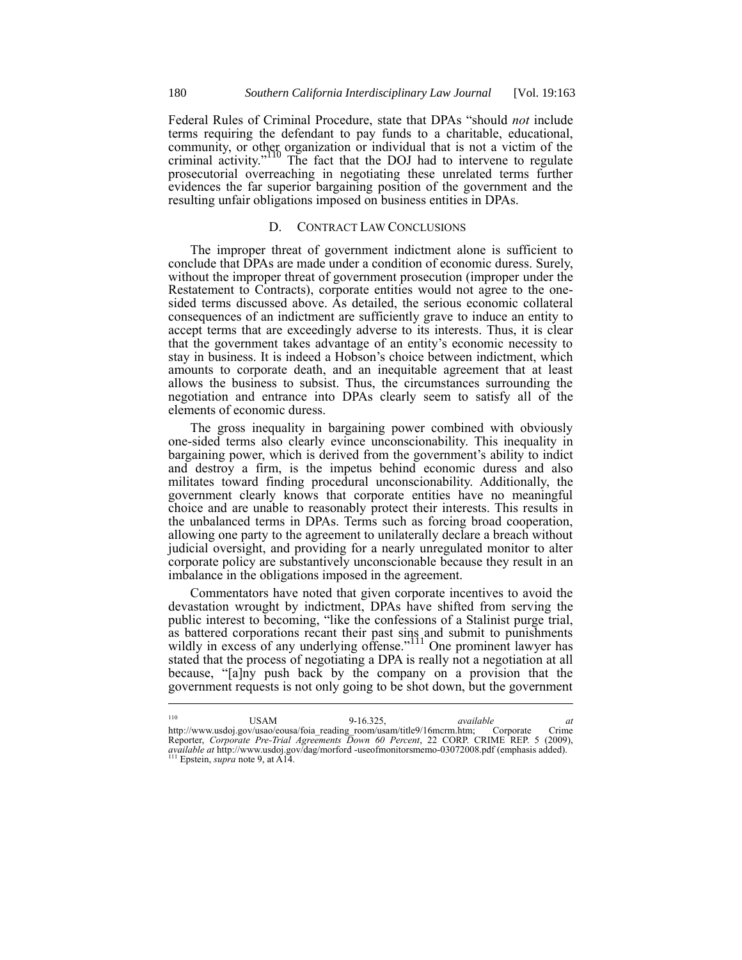Federal Rules of Criminal Procedure, state that DPAs "should *not* include terms requiring the defendant to pay funds to a charitable, educational, community, or other organization or individual that is not a victim of the criminal activity."<sup>110</sup> The fact that the DOJ had to intervene to regulate prosecutorial overreaching in negotiating these unrelated terms further evidences the far superior bargaining position of the government and the resulting unfair obligations imposed on business entities in DPAs.

## D. CONTRACT LAW CONCLUSIONS

The improper threat of government indictment alone is sufficient to conclude that DPAs are made under a condition of economic duress. Surely, without the improper threat of government prosecution (improper under the Restatement to Contracts), corporate entities would not agree to the onesided terms discussed above. As detailed, the serious economic collateral consequences of an indictment are sufficiently grave to induce an entity to accept terms that are exceedingly adverse to its interests. Thus, it is clear that the government takes advantage of an entity's economic necessity to stay in business. It is indeed a Hobson's choice between indictment, which amounts to corporate death, and an inequitable agreement that at least allows the business to subsist. Thus, the circumstances surrounding the negotiation and entrance into DPAs clearly seem to satisfy all of the elements of economic duress.

The gross inequality in bargaining power combined with obviously one-sided terms also clearly evince unconscionability. This inequality in bargaining power, which is derived from the government's ability to indict and destroy a firm, is the impetus behind economic duress and also militates toward finding procedural unconscionability. Additionally, the government clearly knows that corporate entities have no meaningful choice and are unable to reasonably protect their interests. This results in the unbalanced terms in DPAs. Terms such as forcing broad cooperation, allowing one party to the agreement to unilaterally declare a breach without judicial oversight, and providing for a nearly unregulated monitor to alter corporate policy are substantively unconscionable because they result in an imbalance in the obligations imposed in the agreement.

Commentators have noted that given corporate incentives to avoid the devastation wrought by indictment, DPAs have shifted from serving the public interest to becoming, "like the confessions of a Stalinist purge trial, as battered corporations recant their past sins and submit to punishments wildly in excess of any underlying offense."<sup>111</sup> One prominent lawyer has stated that the process of negotiating a DPA is really not a negotiation at all because, "[a]ny push back by the company on a provision that the government requests is not only going to be shot down, but the government

<sup>110</sup> USAM 9-16.325, *available at* http://www.usdoj.gov/usao/eousa/foia\_reading\_room/usam/title9/16mcrm.htm; Corporate Crime Reporter, *Corporate Pre-Trial Agreements Down 60 Percent*, 22 CORP. CRIME REP. 5 (2009), *available at* http://www.usdoj.gov/dag/morford -useofmonitorsmemo-03072008.pdf (emphasis added).<br><sup>111</sup> Epstein, *supra* note 9, at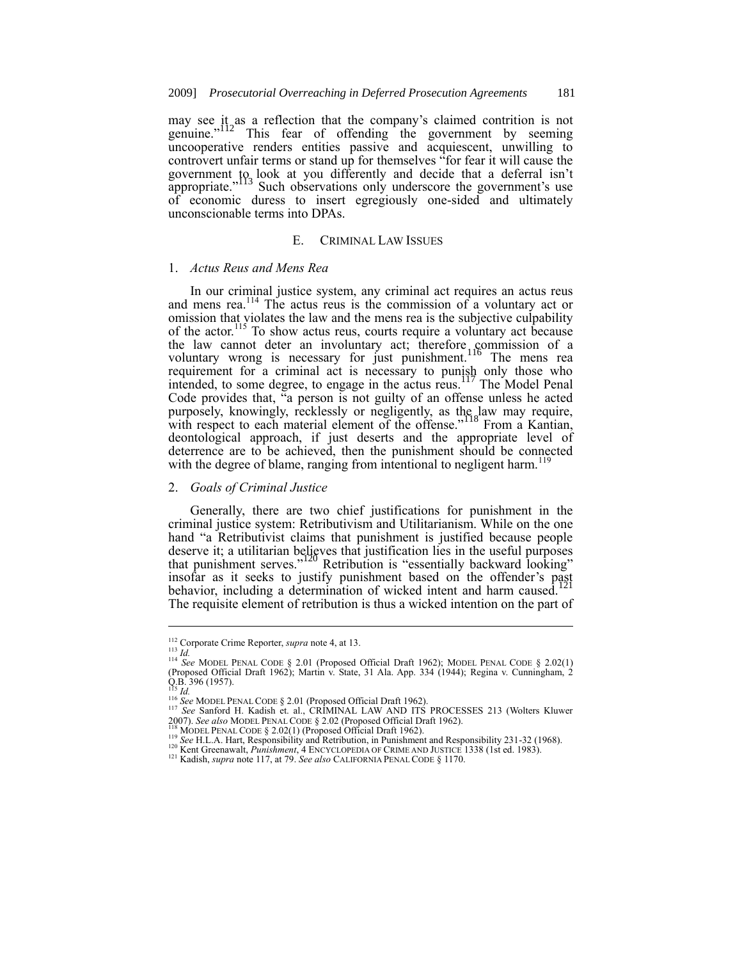may see it as a reflection that the company's claimed contrition is not genuine."<sup>112</sup> This fear of offending the government by seeming genuine."<sup>112</sup> This fear of offending the government by seeming uncooperative renders entities passive and acquiescent, unwilling to controvert unfair terms or stand up for themselves "for fear it will cause the government to look at you differently and decide that a deferral isn't appropriate."<sup>113</sup> Such observations only underscore the government's use of economic duress to insert egregiously one-sided and ultimately unconscionable terms into DPAs.

## E. CRIMINAL LAW ISSUES

#### 1. *Actus Reus and Mens Rea*

In our criminal justice system, any criminal act requires an actus reus and mens rea.<sup>114</sup> The actus reus is the commission of a voluntary act or omission that violates the law and the mens rea is the subjective culpability of the actor.<sup>115</sup> To show actus reus, courts require a voluntary act because the law cannot deter an involuntary act; therefore commission of a voluntary wrong is necessary for just punishment.<sup>116</sup> The mens rea requirement for a criminal act is necessary to punish only those who intended, to some degree, to engage in the actus reus.<sup>117</sup> The Model Penal Code provides that, "a person is not guilty of an offense unless he acted purposely, knowingly, recklessly or negligently, as the law may require, with respect to each material element of the offense."<sup>118</sup> From a Kantian, deontological approach, if just deserts and the appropriate level of deterrence are to be achieved, then the punishment should be connected with the degree of blame, ranging from intentional to negligent harm.<sup>119</sup>

# 2. *Goals of Criminal Justice*

Generally, there are two chief justifications for punishment in the criminal justice system: Retributivism and Utilitarianism. While on the one hand "a Retributivist claims that punishment is justified because people deserve it; a utilitarian believes that justification lies in the useful purposes that punishment serves."<sup>120</sup> Retribution is "essentially backward looking" insofar as it seeks to justify punishment based on the offender's past behavior, including a determination of wicked intent and harm caused. The requisite element of retribution is thus a wicked intention on the part of

<sup>112</sup> Corporate Crime Reporter, *supra* note 4, at 13.

<sup>113</sup> *Id.* <sup>114</sup> *See* MODEL PENAL CODE § 2.01 (Proposed Official Draft 1962); MODEL PENAL CODE § 2.02(1) (Proposed Official Draft 1962); Martin v. State, 31 Ala. App. 334 (1944); Regina v. Cunningham, 2 Q.B. 396 (1957).<br><sup>115</sup> *Id.*<br><sup>116</sup> See MODEL PENAL CODE § 2.01 (Proposed Official Draft 1962).

<sup>117</sup> *See* Sanford H. Kadish et. al., CRIMINAL LAW AND ITS PROCESSES 213 (Wolters Kluwer 2007). *See also* MODEL PENAL CODE § 2.02 (Proposed Official Draft 1962).

<sup>&</sup>lt;sup>118</sup> MODEL PENAL CODE § 2.02(1) (Proposed Official Draft 1962).

<sup>&</sup>lt;sup>119</sup> See H.L.A. Hart, Responsibility and Retribution, in Punishment and Responsibility 231-32 (1968).<br><sup>120</sup> Kent Greenawalt, *Punishment*, 4 ENCYCLOPEDIA OF CRIME AND JUSTICE 1338 (1st ed. 1983).<br><sup>121</sup> Kadish, *supra* not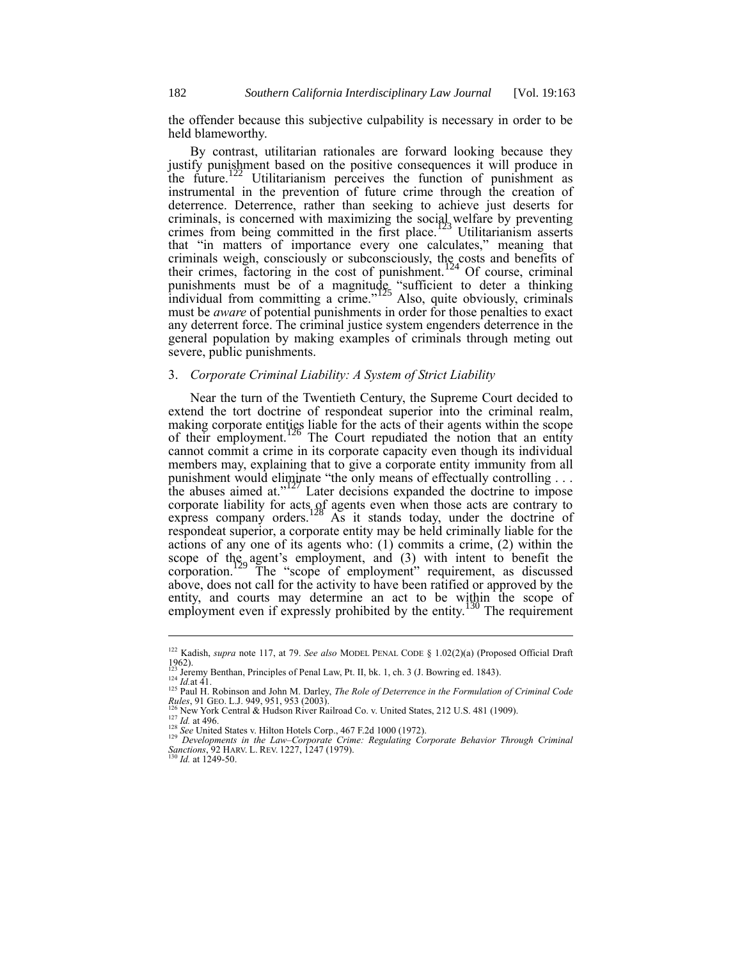the offender because this subjective culpability is necessary in order to be held blameworthy.

By contrast, utilitarian rationales are forward looking because they justify punishment based on the positive consequences it will produce in the future.<sup>122</sup> Utilitarianism perceives the function of punishment as instrumental in the prevention of future crime through the creation of deterrence. Deterrence, rather than seeking to achieve just deserts for criminals, is concerned with maximizing the social welfare by preventing crimes from being committed in the first place.<sup>123</sup> Utilitarianism asserts that "in matters of importance every one calculates," meaning that criminals weigh, consciously or subconsciously, the costs and benefits of their crimes, factoring in the cost of punishment.<sup>124</sup> Of course, criminal punishments must be of a magnitude "sufficient to deter a thinking individual from committing a crime."<sup>125</sup> Also, quite obviously, criminals must be *aware* of potential punishments in order for those penalties to exact any deterrent force. The criminal justice system engenders deterrence in the general population by making examples of criminals through meting out severe, public punishments.

## 3. *Corporate Criminal Liability: A System of Strict Liability*

Near the turn of the Twentieth Century, the Supreme Court decided to extend the tort doctrine of respondeat superior into the criminal realm, making corporate entities liable for the acts of their agents within the scope of their employment.<sup>126</sup> The Court repudiated the notion that an entity cannot commit a crime in its corporate capacity even though its individual members may, explaining that to give a corporate entity immunity from all punishment would eliminate "the only means of effectually controlling  $\dots$  the abuses aimed at."<sup>127</sup> Later decisions expanded the doctrine to impose corporate liability for acts of agents even when those acts are contrary to express company orders.<sup>128</sup> As it stands today, under the doctrine of respondeat superior, a corporate entity may be held criminally liable for the actions of any one of its agents who: (1) commits a crime, (2) within the scope of the agent's employment, and (3) with intent to benefit the corporation.<sup>129</sup> The "scope of employment" requirement, as discussed above, does not call for the activity to have been ratified or approved by the entity, and courts may determine an act to be within the scope of employment even if expressly prohibited by the entity.<sup>130</sup> The requirement

1

<sup>122</sup> Kadish, *supra* note 117, at 79. *See also* MODEL PENAL CODE § 1.02(2)(a) (Proposed Official Draft 1962). <sup>123</sup> Jeremy Benthan, Principles of Penal Law, Pt. II, bk. 1, ch. 3 (J. Bowring ed. 1843).

 $^{124}$  *Id.*at 41.

<sup>125</sup> Paul H. Robinson and John M. Darley, *The Role of Deterrence in the Formulation of Criminal Code Rules*, 91 GEO. L.J. 949, 951, 953 (2003).<br><sup>126</sup> New York Central & Hudson River Railroad Co. v. United States, 212 U.S. 481 (1909).

<sup>&</sup>lt;sup>126</sup> New York Central & Hudson River Railroad Co. v. United States, 212 U.S. 481 (1909).<br><sup>127</sup> *Id.* at 496.<br><sup>128</sup> *See* United States v. Hilton Hotels Corp., 467 F.2d 1000 (1972).

<sup>129</sup> *Developments in the Law–Corporate Crime: Regulating Corporate Behavior Through Criminal Sanctions*, 92 HARV. L. REV. 1227, 1247 (1979). <sup>130</sup> *Id.* at 1249-50.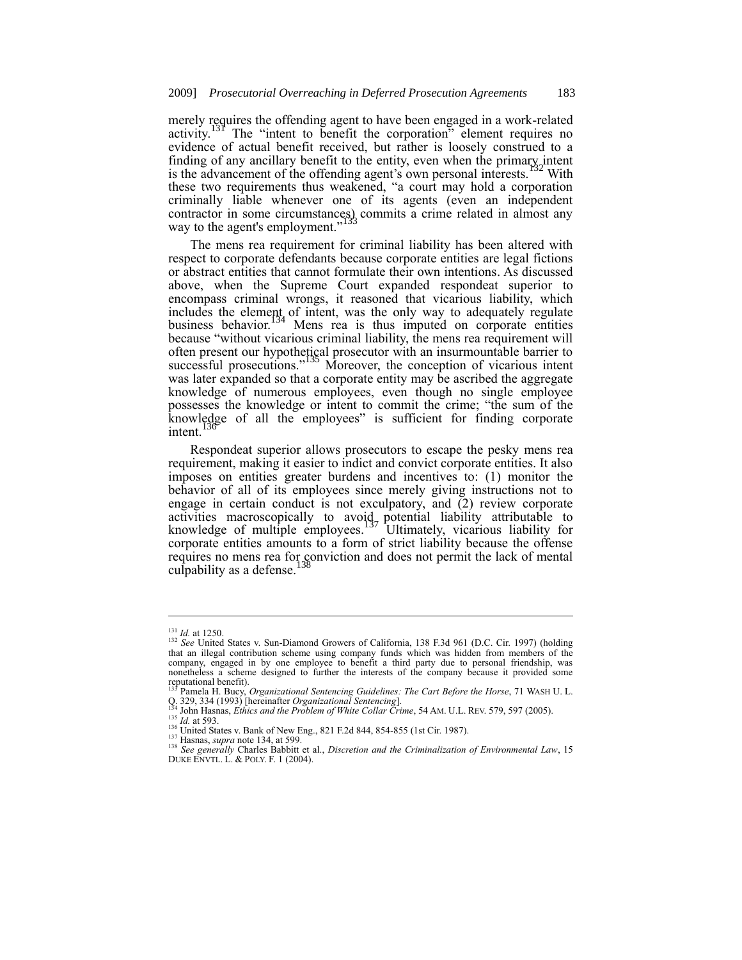merely requires the offending agent to have been engaged in a work-related activity.<sup>131</sup> The "intent to benefit the corporation" element requires no evidence of actual benefit received, but rather is loosely construed to a finding of any ancillary benefit to the entity, even when the primary intent is the advancement of the offending agent's own personal interests.<sup>132</sup> With these two requirements thus weakened, "a court may hold a corporation criminally liable whenever one of its agents (even an independent contractor in some circumstances) commits a crime related in almost any way to the agent's employment."

The mens rea requirement for criminal liability has been altered with respect to corporate defendants because corporate entities are legal fictions or abstract entities that cannot formulate their own intentions. As discussed above, when the Supreme Court expanded respondeat superior to encompass criminal wrongs, it reasoned that vicarious liability, which includes the element of intent, was the only way to adequately regulate business behavior.<sup>134</sup> Mens rea is thus imputed on corporate entities because "without vicarious criminal liability, the mens rea requirement will often present our hypothetical prosecutor with an insurmountable barrier to successful prosecutions."<sup>135</sup> Moreover, the conception of vicarious intent was later expanded so that a corporate entity may be ascribed the aggregate knowledge of numerous employees, even though no single employee possesses the knowledge or intent to commit the crime; "the sum of the knowledge of all the employees" is sufficient for finding corporate intent.

Respondeat superior allows prosecutors to escape the pesky mens rea requirement, making it easier to indict and convict corporate entities. It also imposes on entities greater burdens and incentives to: (1) monitor the behavior of all of its employees since merely giving instructions not to engage in certain conduct is not exculpatory, and (2) review corporate activities macroscopically to avoid potential liability attributable to knowledge of multiple employees.<sup>137</sup> Ultimately, vicarious liability for corporate entities amounts to a form of strict liability because the offense requires no mens rea for conviction and does not permit the lack of mental culpability as a defense.

<sup>131</sup> *Id.* at 1250.

<sup>132</sup> *See* United States v. Sun-Diamond Growers of California, 138 F.3d 961 (D.C. Cir. 1997) (holding that an illegal contribution scheme using company funds which was hidden from members of the company, engaged in by one employee to benefit a third party due to personal friendship, was nonetheless a scheme designed to further the interests of the company because it provided some

reputational benefit).<br><sup>133</sup> Pamela H. Bucy, *Organizational Sentencing Guidelines: The Cart Before the Horse*, 71 WASH U. L.<br>Q. 329, 334 (1993) [hereinafter *Organizational Sentencing*].<br><sup>134</sup> John Hasnas, *Ethics and the* 

<sup>1&</sup>lt;sup>35</sup> *Id.* at 593. (*Interlaiting States v. Bank of New Eng., 821 F.2d 844, 854-855 (1st Cir. 1987).* 

<sup>137</sup> Hasnas, *supra* note 134, at 599.

<sup>138</sup> *See generally* Charles Babbitt et al., *Discretion and the Criminalization of Environmental Law*, 15 DUKE ENVTL. L. & POLY. F. 1 (2004).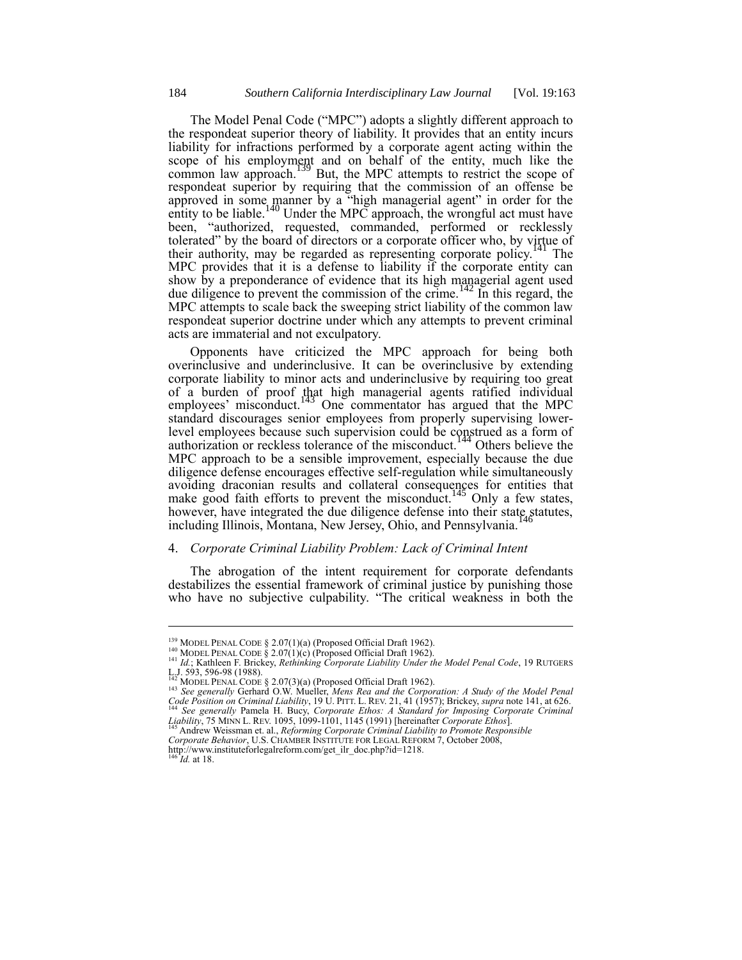The Model Penal Code ("MPC") adopts a slightly different approach to the respondeat superior theory of liability. It provides that an entity incurs liability for infractions performed by a corporate agent acting within the scope of his employment and on behalf of the entity, much like the common law approach.<sup>139</sup> But, the MPC attempts to restrict the scope of respondeat superior by requiring that the commission of an offense be approved in some manner by a "high managerial agent" in order for the entity to be liable.<sup>140</sup> Under the MPC approach, the wrongful act must have been, "authorized, requested, commanded, performed or recklessly tolerated" by the board of directors or a corporate officer who, by virtue of their authority, may be regarded as representing corporate policy.<sup>141</sup> The MPC provides that it is a defense to liability if the corporate entity can show by a preponderance of evidence that its high managerial agent used due diligence to prevent the commission of the crime.<sup>142</sup> In this regard, the MPC attempts to scale back the sweeping strict liability of the common law respondeat superior doctrine under which any attempts to prevent criminal acts are immaterial and not exculpatory.

Opponents have criticized the MPC approach for being both overinclusive and underinclusive. It can be overinclusive by extending corporate liability to minor acts and underinclusive by requiring too great of a burden of proof that high managerial agents ratified individual employees' misconduct.<sup>143</sup> One commentator has argued that the MPC standard discourages senior employees from properly supervising lowerlevel employees because such supervision could be construed as a form of authorization or reckless tolerance of the misconduct.<sup>144</sup> Others believe the MPC approach to be a sensible improvement, especially because the due diligence defense encourages effective self-regulation while simultaneously avoiding draconian results and collateral consequences for entities that make good faith efforts to prevent the misconduct.<sup>145</sup> Only a few states, however, have integrated the due diligence defense into their state statutes, including Illinois, Montana, New Jersey, Ohio, and Pennsylvania.

## 4. *Corporate Criminal Liability Problem: Lack of Criminal Intent*

The abrogation of the intent requirement for corporate defendants destabilizes the essential framework of criminal justice by punishing those who have no subjective culpability. "The critical weakness in both the

<sup>&</sup>lt;sup>139</sup> MODEL PENAL CODE § 2.07(1)(a) (Proposed Official Draft 1962).

<sup>140</sup> MODEL PENAL CODE § 2.07(1)(c) (Proposed Official Draft 1962). <sup>141</sup> *Id.*; Kathleen F. Brickey, *Rethinking Corporate Liability Under the Model Penal Code*, 19 RUTGERS

L.J. 593, 596-98 (1988).<br><sup>143</sup> MODEL PENAL CODE § 2.07(3)(a) (Proposed Official Draft 1962).<br><sup>143</sup> See generally Gerhard O.W. Mueller, *Mens Rea and the Corporation: A Study of the Model Penal*<br>*Code Position on Criminal L* 

Andrew Weissman et. al., *Reforming Corporate Criminal Liability to Promote Responsible Corporate Behavior*, U.S. CHAMBER INSTITUTE FOR LEGAL REFORM 7, October 2008,

http://www.instituteforlegalreform.com/get\_ilr\_doc.php?id=1218. <sup>146</sup> *Id.* at 18.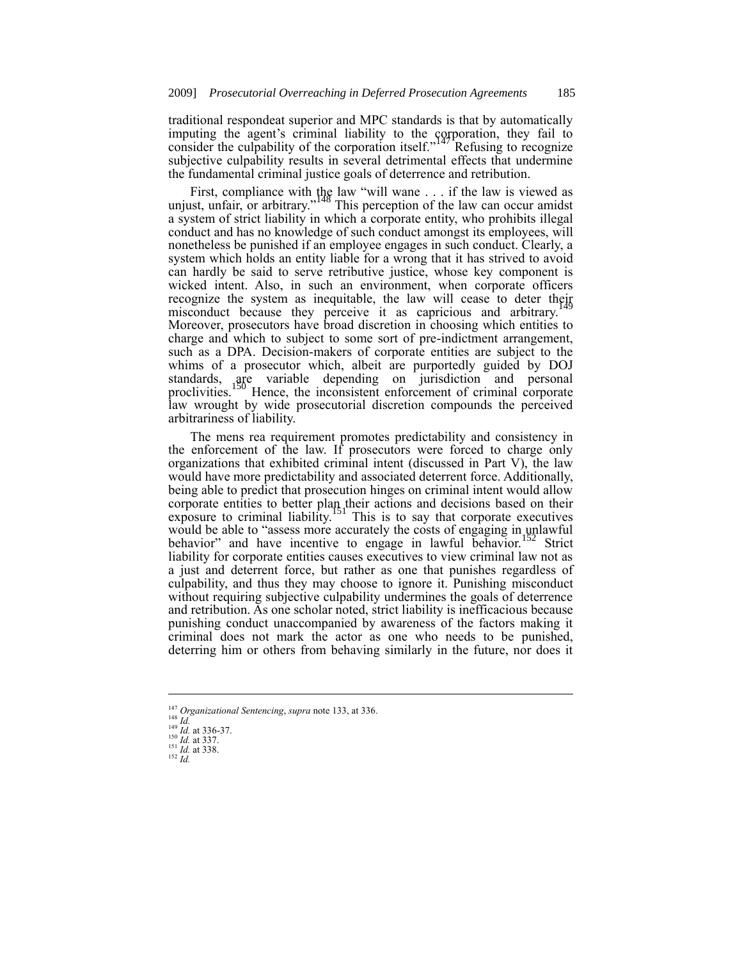traditional respondeat superior and MPC standards is that by automatically imputing the agent's criminal liability to the corporation, they fail to consider the culpability of the corporation itself.<sup>147</sup> Refusing to recognize subjective culpability results in several detrimental effects that undermine the fundamental criminal justice goals of deterrence and retribution.

First, compliance with the law "will wane . . . if the law is viewed as unjust, unfair, or arbitrary."<sup>148</sup> This perception of the law can occur amidst a system of strict liability in which a corporate entity, who prohibits illegal conduct and has no knowledge of such conduct amongst its employees, will nonetheless be punished if an employee engages in such conduct. Clearly, a system which holds an entity liable for a wrong that it has strived to avoid can hardly be said to serve retributive justice, whose key component is wicked intent. Also, in such an environment, when corporate officers recognize the system as inequitable, the law will cease to deter their misconduct because they perceive it as capricious and arbitrary. Moreover, prosecutors have broad discretion in choosing which entities to charge and which to subject to some sort of pre-indictment arrangement, such as a DPA. Decision-makers of corporate entities are subject to the whims of a prosecutor which, albeit are purportedly guided by DOJ standards, are variable depending on jurisdiction and personal proclivities.<sup>150</sup> Hence, the inconsistent enforcement of criminal corporate law wrought by wide prosecutorial discretion compounds the perceived arbitrariness of liability.

The mens rea requirement promotes predictability and consistency in the enforcement of the law. If prosecutors were forced to charge only organizations that exhibited criminal intent (discussed in Part V), the law would have more predictability and associated deterrent force. Additionally, being able to predict that prosecution hinges on criminal intent would allow corporate entities to better plan their actions and decisions based on their exposure to criminal liability.<sup>151</sup> This is to say that corporate executives would be able to "assess more accurately the costs of engaging in unlawful behavior" and have incentive to engage in lawful behavior.<sup>152</sup> Strict liability for corporate entities causes executives to view criminal law not as a just and deterrent force, but rather as one that punishes regardless of culpability, and thus they may choose to ignore it. Punishing misconduct without requiring subjective culpability undermines the goals of deterrence and retribution. As one scholar noted, strict liability is inefficacious because punishing conduct unaccompanied by awareness of the factors making it criminal does not mark the actor as one who needs to be punished, deterring him or others from behaving similarly in the future, nor does it

1

<sup>147</sup> *Organizational Sentencing*, *supra* note 133, at 336. <sup>148</sup> *Id.* <sup>149</sup> *Id.* at 336-37.

<sup>150</sup> *Id.* at 337. <sup>151</sup> *Id.* at 338. <sup>152</sup> *Id.*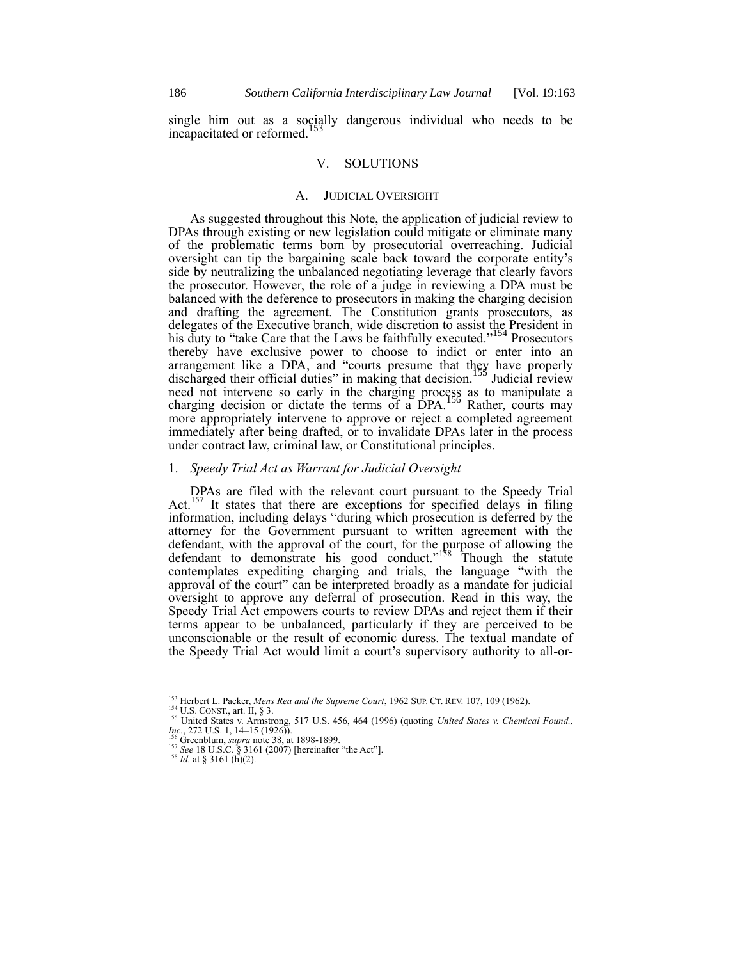single him out as a socially dangerous individual who needs to be incapacitated or reformed.

# V. SOLUTIONS

#### A. JUDICIAL OVERSIGHT

As suggested throughout this Note, the application of judicial review to DPAs through existing or new legislation could mitigate or eliminate many of the problematic terms born by prosecutorial overreaching. Judicial oversight can tip the bargaining scale back toward the corporate entity's side by neutralizing the unbalanced negotiating leverage that clearly favors the prosecutor. However, the role of a judge in reviewing a DPA must be balanced with the deference to prosecutors in making the charging decision and drafting the agreement. The Constitution grants prosecutors, as delegates of the Executive branch, wide discretion to assist the President in his duty to "take Care that the Laws be faithfully executed."<sup>154</sup> Prosecutors thereby have exclusive power to choose to indict or enter into an arrangement like a DPA, and "courts presume that they have properly discharged their official duties" in making that decision.<sup>155</sup> Judicial review need not intervene so early in the charging process as to manipulate a charging decision or dictate the terms of a DPA.<sup>156</sup> Rather, courts may more appropriately intervene to approve or reject a completed agreement immediately after being drafted, or to invalidate DPAs later in the process under contract law, criminal law, or Constitutional principles.

## 1. *Speedy Trial Act as Warrant for Judicial Oversight*

DPAs are filed with the relevant court pursuant to the Speedy Trial Act.<sup>157</sup> It states that there are exceptions for specified delays in filing information, including delays "during which prosecution is deferred by the attorney for the Government pursuant to written agreement with the defendant, with the approval of the court, for the purpose of allowing the defendant to demonstrate his good conduct."<sup>158</sup> Though the statute contemplates expediting charging and trials, the language "with the approval of the court" can be interpreted broadly as a mandate for judicial oversight to approve any deferral of prosecution. Read in this way, the Speedy Trial Act empowers courts to review DPAs and reject them if their terms appear to be unbalanced, particularly if they are perceived to be unconscionable or the result of economic duress. The textual mandate of the Speedy Trial Act would limit a court's supervisory authority to all-or-

<sup>153</sup> Herbert L. Packer, *Mens Rea and the Supreme Court*, 1962 SUP. CT. REV. 107, 109 (1962).

 $^{154}$  U.S. CONST., art. II, § 3.

<sup>155</sup> United States v. Armstrong, 517 U.S. 456, 464 (1996) (quoting *United States v. Chemical Found., Inc.*, 272 U.S. 1, 14–15 (1926)).<br><sup>156</sup> Greenblum, *supra* note 38, at 1898-1899.<br><sup>157</sup> *See* 18 U.S.C. § 3161 (2007) [hereinafter "the Act"].<br><sup>158</sup> *Id.* at § 3161 (h)(2).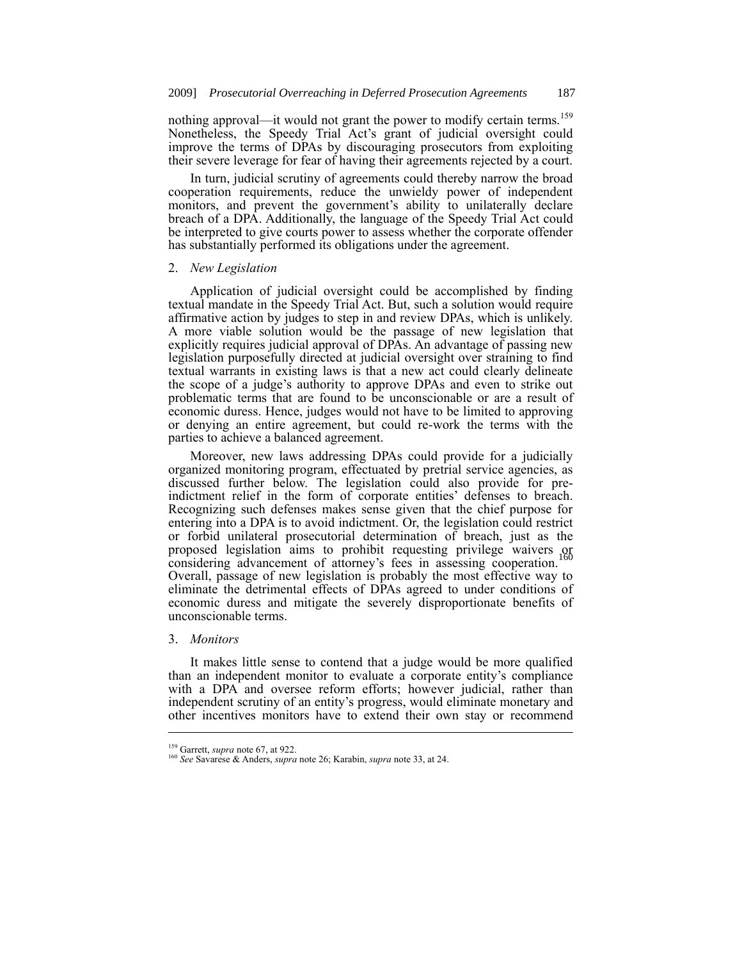nothing approval—it would not grant the power to modify certain terms.<sup>159</sup> Nonetheless, the Speedy Trial Act's grant of judicial oversight could improve the terms of DPAs by discouraging prosecutors from exploiting their severe leverage for fear of having their agreements rejected by a court.

In turn, judicial scrutiny of agreements could thereby narrow the broad cooperation requirements, reduce the unwieldy power of independent monitors, and prevent the government's ability to unilaterally declare breach of a DPA. Additionally, the language of the Speedy Trial Act could be interpreted to give courts power to assess whether the corporate offender has substantially performed its obligations under the agreement.

## 2. *New Legislation*

Application of judicial oversight could be accomplished by finding textual mandate in the Speedy Trial Act. But, such a solution would require affirmative action by judges to step in and review DPAs, which is unlikely. A more viable solution would be the passage of new legislation that explicitly requires judicial approval of DPAs. An advantage of passing new legislation purposefully directed at judicial oversight over straining to find textual warrants in existing laws is that a new act could clearly delineate the scope of a judge's authority to approve DPAs and even to strike out problematic terms that are found to be unconscionable or are a result of economic duress. Hence, judges would not have to be limited to approving or denying an entire agreement, but could re-work the terms with the parties to achieve a balanced agreement.

Moreover, new laws addressing DPAs could provide for a judicially organized monitoring program, effectuated by pretrial service agencies, as discussed further below. The legislation could also provide for preindictment relief in the form of corporate entities' defenses to breach. Recognizing such defenses makes sense given that the chief purpose for entering into a DPA is to avoid indictment. Or, the legislation could restrict or forbid unilateral prosecutorial determination of breach, just as the proposed legislation aims to prohibit requesting privilege waivers or considering advancement of attorney's fees in assessing cooperation. Overall, passage of new legislation is probably the most effective way to eliminate the detrimental effects of DPAs agreed to under conditions of economic duress and mitigate the severely disproportionate benefits of unconscionable terms.

#### 3. *Monitors*

-

It makes little sense to contend that a judge would be more qualified than an independent monitor to evaluate a corporate entity's compliance with a DPA and oversee reform efforts; however judicial, rather than independent scrutiny of an entity's progress, would eliminate monetary and other incentives monitors have to extend their own stay or recommend

<sup>159</sup> Garrett, *supra* note 67, at 922.

<sup>160</sup> *See* Savarese & Anders, *supra* note 26; Karabin, *supra* note 33, at 24.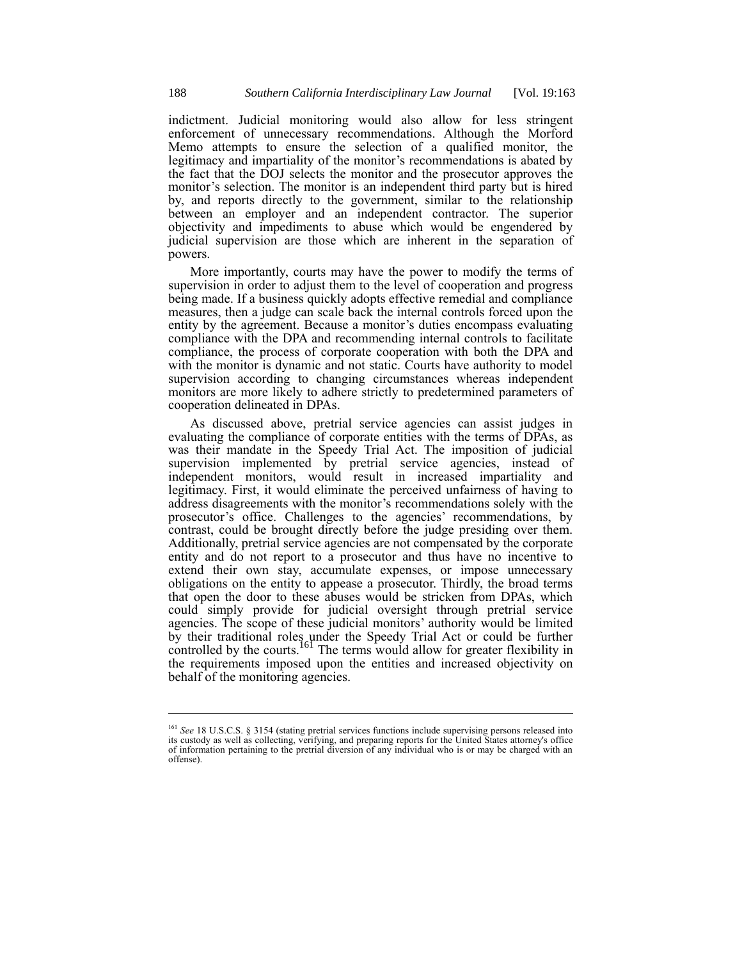indictment. Judicial monitoring would also allow for less stringent enforcement of unnecessary recommendations. Although the Morford Memo attempts to ensure the selection of a qualified monitor, the legitimacy and impartiality of the monitor's recommendations is abated by the fact that the DOJ selects the monitor and the prosecutor approves the monitor's selection. The monitor is an independent third party but is hired by, and reports directly to the government, similar to the relationship between an employer and an independent contractor. The superior objectivity and impediments to abuse which would be engendered by judicial supervision are those which are inherent in the separation of powers.

More importantly, courts may have the power to modify the terms of supervision in order to adjust them to the level of cooperation and progress being made. If a business quickly adopts effective remedial and compliance measures, then a judge can scale back the internal controls forced upon the entity by the agreement. Because a monitor's duties encompass evaluating compliance with the DPA and recommending internal controls to facilitate compliance, the process of corporate cooperation with both the DPA and with the monitor is dynamic and not static. Courts have authority to model supervision according to changing circumstances whereas independent monitors are more likely to adhere strictly to predetermined parameters of cooperation delineated in DPAs.

As discussed above, pretrial service agencies can assist judges in evaluating the compliance of corporate entities with the terms of DPAs, as was their mandate in the Speedy Trial Act. The imposition of judicial supervision implemented by pretrial service agencies, instead of independent monitors, would result in increased impartiality and legitimacy. First, it would eliminate the perceived unfairness of having to address disagreements with the monitor's recommendations solely with the prosecutor's office. Challenges to the agencies' recommendations, by contrast, could be brought directly before the judge presiding over them. Additionally, pretrial service agencies are not compensated by the corporate entity and do not report to a prosecutor and thus have no incentive to extend their own stay, accumulate expenses, or impose unnecessary obligations on the entity to appease a prosecutor. Thirdly, the broad terms that open the door to these abuses would be stricken from DPAs, which could simply provide for judicial oversight through pretrial service agencies. The scope of these judicial monitors' authority would be limited by their traditional roles under the Speedy Trial Act or could be further controlled by the courts.<sup>161</sup> The terms would allow for greater flexibility in the requirements imposed upon the entities and increased objectivity on behalf of the monitoring agencies.

<sup>161</sup> *See* 18 U.S.C.S. § 3154 (stating pretrial services functions include supervising persons released into its custody as well as collecting, verifying, and preparing reports for the United States attorney's office of information pertaining to the pretrial diversion of any individual who is or may be charged with an offense).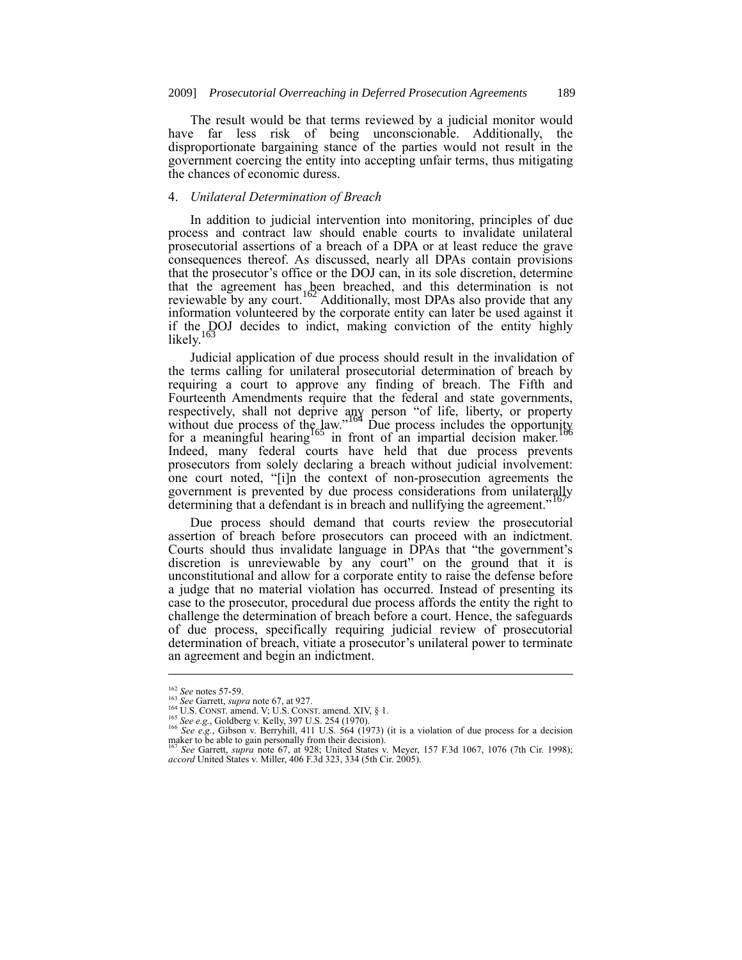The result would be that terms reviewed by a judicial monitor would have far less risk of being unconscionable. Additionally, the disproportionate bargaining stance of the parties would not result in the government coercing the entity into accepting unfair terms, thus mitigating the chances of economic duress.

### 4. *Unilateral Determination of Breach*

In addition to judicial intervention into monitoring, principles of due process and contract law should enable courts to invalidate unilateral prosecutorial assertions of a breach of a DPA or at least reduce the grave consequences thereof. As discussed, nearly all DPAs contain provisions that the prosecutor's office or the DOJ can, in its sole discretion, determine that the agreement has been breached, and this determination is not reviewable by any court.<sup>162</sup> Additionally, most DPAs also provide that any information volunteered by the corporate entity can later be used against it if the DOJ decides to indict, making conviction of the entity highly likely.<sup>163</sup>

Judicial application of due process should result in the invalidation of the terms calling for unilateral prosecutorial determination of breach by requiring a court to approve any finding of breach. The Fifth and Fourteenth Amendments require that the federal and state governments, respectively, shall not deprive any person "of life, liberty, or property without due process of the law."<sup>164</sup> Due process includes the opportunity for a meaningful hearing<sup>165</sup> in front of an impartial decision maker.<sup>166</sup> Indeed, many federal courts have held that due process prevents prosecutors from solely declaring a breach without judicial involvement: one court noted, "[i]n the context of non-prosecution agreements the government is prevented by due process considerations from unilaterally determining that a defendant is in breach and nullifying the agreement."

Due process should demand that courts review the prosecutorial assertion of breach before prosecutors can proceed with an indictment. Courts should thus invalidate language in DPAs that "the government's discretion is unreviewable by any court" on the ground that it is unconstitutional and allow for a corporate entity to raise the defense before a judge that no material violation has occurred. Instead of presenting its case to the prosecutor, procedural due process affords the entity the right to challenge the determination of breach before a court. Hence, the safeguards of due process, specifically requiring judicial review of prosecutorial determination of breach, vitiate a prosecutor's unilateral power to terminate an agreement and begin an indictment.

<sup>162</sup> *See* notes 57-59.

<sup>163</sup> *See* Garrett, *supra* note 67, at 927.

<sup>164</sup> U.S. CONST. amend. V; U.S. CONST. amend. XIV, § 1. <sup>165</sup> *See e.g.*, Goldberg v. Kelly, 397 U.S. 254 (1970).

<sup>166</sup> *See e.g.*, Gibson v. Berryhill, 411 U.S. 564 (1973) (it is a violation of due process for a decision

maker to be able to gain personally from their decision).<br><sup>167</sup> See Garrett, *supra* note 67, at 928; United States v. Meyer, 157 F.3d 1067, 1076 (7th Cir. 1998); *accord* United States v. Miller, 406 F.3d 323, 334 (5th Ci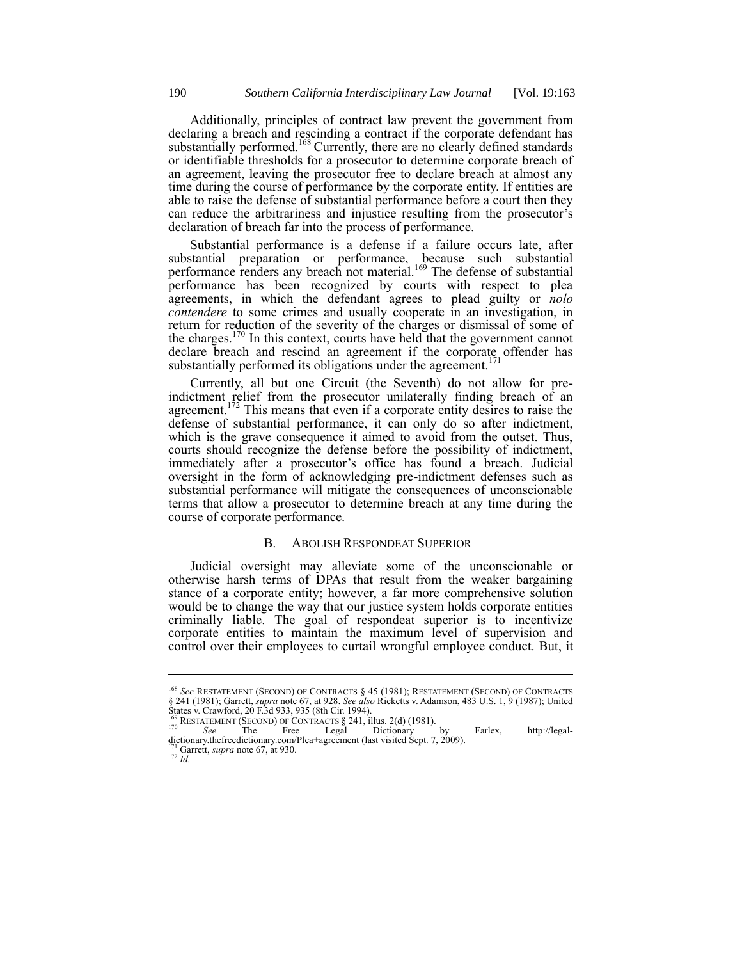Additionally, principles of contract law prevent the government from declaring a breach and rescinding a contract if the corporate defendant has substantially performed.<sup>168</sup> Currently, there are no clearly defined standards or identifiable thresholds for a prosecutor to determine corporate breach of an agreement, leaving the prosecutor free to declare breach at almost any time during the course of performance by the corporate entity. If entities are able to raise the defense of substantial performance before a court then they can reduce the arbitrariness and injustice resulting from the prosecutor's declaration of breach far into the process of performance.

Substantial performance is a defense if a failure occurs late, after substantial preparation or performance, because such substantial performance renders any breach not material.<sup>169</sup> The defense of substantial performance has been recognized by courts with respect to plea agreements, in which the defendant agrees to plead guilty or *nolo contendere* to some crimes and usually cooperate in an investigation, in return for reduction of the severity of the charges or dismissal of some of the charges.<sup>170</sup> In this context, courts have held that the government cannot declare breach and rescind an agreement if the corporate offender has substantially performed its obligations under the agreement.<sup>171</sup>

Currently, all but one Circuit (the Seventh) do not allow for preindictment relief from the prosecutor unilaterally finding breach of an agreement.<sup>172</sup> This means that even if a corporate entity desires to raise the defense of substantial performance, it can only do so after indictment, which is the grave consequence it aimed to avoid from the outset. Thus, courts should recognize the defense before the possibility of indictment, immediately after a prosecutor's office has found a breach. Judicial oversight in the form of acknowledging pre-indictment defenses such as substantial performance will mitigate the consequences of unconscionable terms that allow a prosecutor to determine breach at any time during the course of corporate performance.

### B. ABOLISH RESPONDEAT SUPERIOR

Judicial oversight may alleviate some of the unconscionable or otherwise harsh terms of DPAs that result from the weaker bargaining stance of a corporate entity; however, a far more comprehensive solution would be to change the way that our justice system holds corporate entities criminally liable. The goal of respondeat superior is to incentivize corporate entities to maintain the maximum level of supervision and control over their employees to curtail wrongful employee conduct. But, it

<sup>168</sup> *See* RESTATEMENT (SECOND) OF CONTRACTS § 45 (1981); RESTATEMENT (SECOND) OF CONTRACTS § 241 (1981); Garrett, *supra* note 67, at 928. *See also* Ricketts v. Adamson, 483 U.S. 1, 9 (1987); United States v. Crawford, 20 F.3d 933, 935 (8th Cir. 1994).<br>
<sup>169</sup> RESTATEMENT (SECOND) OF CONTRACTS § 241, illus. 2(d) (1981).<br>
<sup>170</sup> *See* The Free Legal Dictionary by Farlex, http://legal-

dictionary.thefreedictionary.com/Plea+agreement (last visited Sept. 7, 2009).

<sup>171</sup> Garrett, *supra* note 67, at 930. <sup>172</sup> *Id.*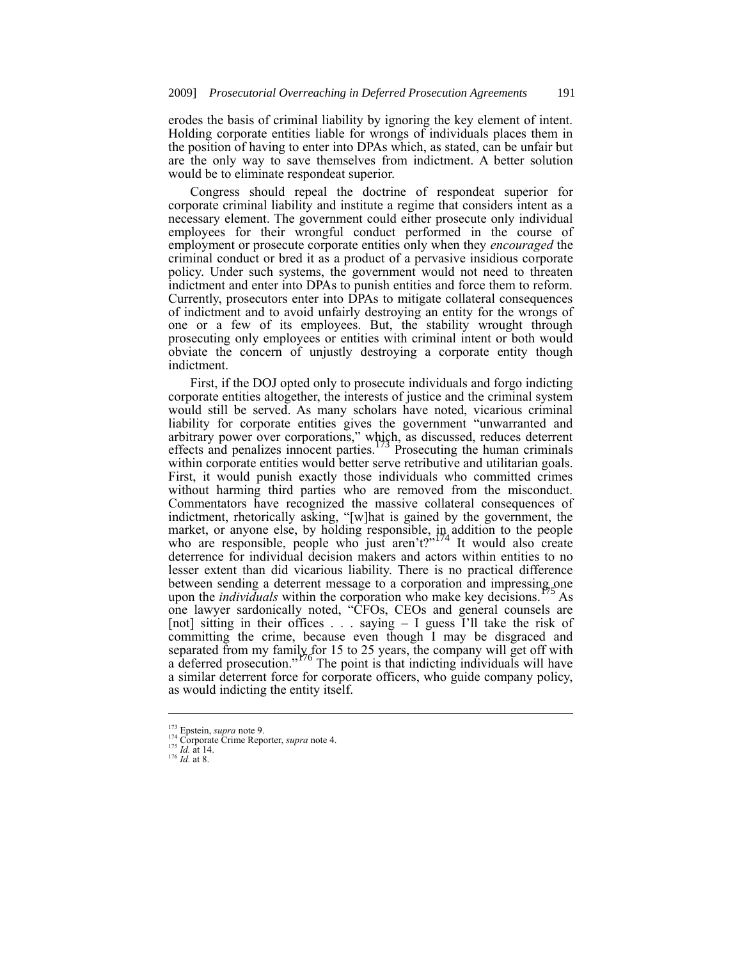erodes the basis of criminal liability by ignoring the key element of intent. Holding corporate entities liable for wrongs of individuals places them in the position of having to enter into DPAs which, as stated, can be unfair but are the only way to save themselves from indictment. A better solution would be to eliminate respondeat superior.

Congress should repeal the doctrine of respondeat superior for corporate criminal liability and institute a regime that considers intent as a necessary element. The government could either prosecute only individual employees for their wrongful conduct performed in the course of employment or prosecute corporate entities only when they *encouraged* the criminal conduct or bred it as a product of a pervasive insidious corporate policy. Under such systems, the government would not need to threaten indictment and enter into DPAs to punish entities and force them to reform. Currently, prosecutors enter into DPAs to mitigate collateral consequences of indictment and to avoid unfairly destroying an entity for the wrongs of one or a few of its employees. But, the stability wrought through prosecuting only employees or entities with criminal intent or both would obviate the concern of unjustly destroying a corporate entity though indictment.

First, if the DOJ opted only to prosecute individuals and forgo indicting corporate entities altogether, the interests of justice and the criminal system would still be served. As many scholars have noted, vicarious criminal liability for corporate entities gives the government "unwarranted and arbitrary power over corporations," which, as discussed, reduces deterrent effects and penalizes innocent parties.<sup>173</sup> Prosecuting the human criminals effects and penalizes innocent parties.<sup>1</sup> within corporate entities would better serve retributive and utilitarian goals. First, it would punish exactly those individuals who committed crimes without harming third parties who are removed from the misconduct. Commentators have recognized the massive collateral consequences of indictment, rhetorically asking, "[w]hat is gained by the government, the market, or anyone else, by holding responsible, in addition to the people who are responsible, people who just aren't?"<sup>174</sup> It would also create deterrence for individual decision makers and actors within entities to no lesser extent than did vicarious liability. There is no practical difference between sending a deterrent message to a corporation and impressing one upon the *individuals* within the corporation who make key decisions.<sup>175</sup> As one lawyer sardonically noted, "CFOs, CEOs and general counsels are [not] sitting in their offices  $\ldots$  saying – I guess I'll take the risk of committing the crime, because even though I may be disgraced and separated from my family for 15 to 25 years, the company will get off with a deferred prosecution."<sup>176</sup> The point is that indicting individuals will have a similar deterrent force for corporate officers, who guide company policy, as would indicting the entity itself.

<sup>173</sup> Epstein, *supra* note 9.

<sup>174</sup> Corporate Crime Reporter, *supra* note 4. <sup>175</sup> *Id.* at 14.

<sup>176</sup> *Id.* at 8.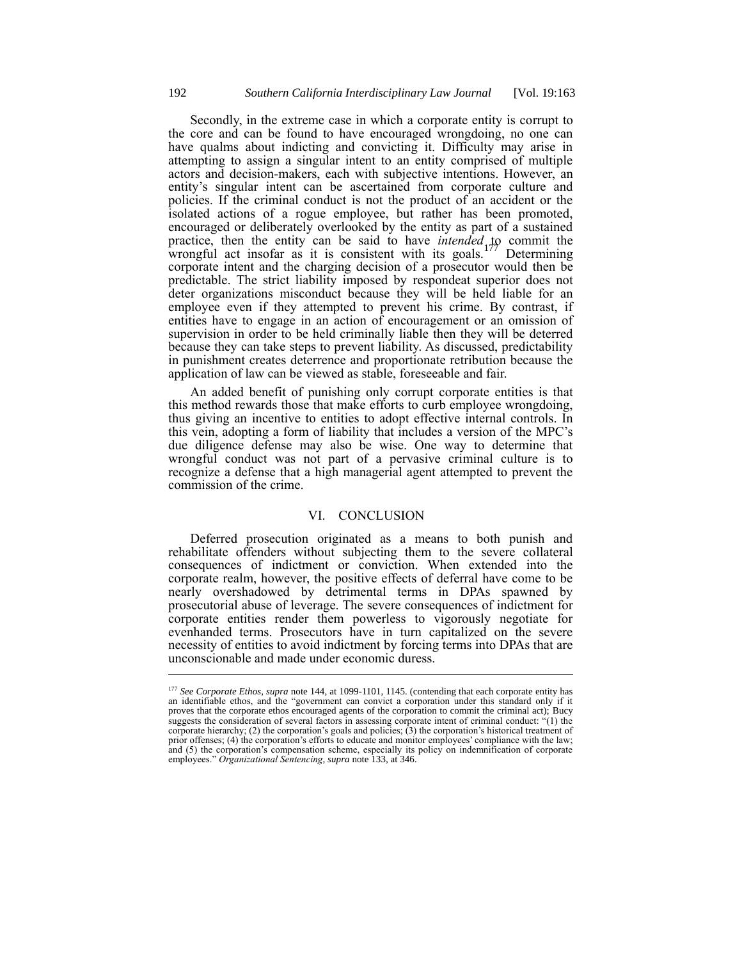Secondly, in the extreme case in which a corporate entity is corrupt to the core and can be found to have encouraged wrongdoing, no one can have qualms about indicting and convicting it. Difficulty may arise in attempting to assign a singular intent to an entity comprised of multiple actors and decision-makers, each with subjective intentions. However, an entity's singular intent can be ascertained from corporate culture and policies. If the criminal conduct is not the product of an accident or the isolated actions of a rogue employee, but rather has been promoted, encouraged or deliberately overlooked by the entity as part of a sustained practice, then the entity can be said to have *intended* to commit the wrongful act insofar as it is consistent with its goals.<sup>177</sup> Determining wrongful act insofar as it is consistent with its goals.<sup>1</sup> corporate intent and the charging decision of a prosecutor would then be predictable. The strict liability imposed by respondeat superior does not deter organizations misconduct because they will be held liable for an employee even if they attempted to prevent his crime. By contrast, if entities have to engage in an action of encouragement or an omission of supervision in order to be held criminally liable then they will be deterred because they can take steps to prevent liability. As discussed, predictability in punishment creates deterrence and proportionate retribution because the application of law can be viewed as stable, foreseeable and fair.

An added benefit of punishing only corrupt corporate entities is that this method rewards those that make efforts to curb employee wrongdoing, thus giving an incentive to entities to adopt effective internal controls. In this vein, adopting a form of liability that includes a version of the MPC's due diligence defense may also be wise. One way to determine that wrongful conduct was not part of a pervasive criminal culture is to recognize a defense that a high managerial agent attempted to prevent the commission of the crime.

### VI. CONCLUSION

Deferred prosecution originated as a means to both punish and rehabilitate offenders without subjecting them to the severe collateral consequences of indictment or conviction. When extended into the corporate realm, however, the positive effects of deferral have come to be nearly overshadowed by detrimental terms in DPAs spawned by prosecutorial abuse of leverage. The severe consequences of indictment for corporate entities render them powerless to vigorously negotiate for evenhanded terms. Prosecutors have in turn capitalized on the severe necessity of entities to avoid indictment by forcing terms into DPAs that are unconscionable and made under economic duress.

<sup>177</sup> *See Corporate Ethos*, *supra* note 144, at 1099-1101, 1145. (contending that each corporate entity has an identifiable ethos, and the "government can convict a corporation under this standard only if it proves that the corporate ethos encouraged agents of the corporation to commit the criminal act); Bucy suggests the consideration of several factors in assessing corporate intent of criminal conduct: "(1) the corporate hierarchy; (2) the corporation's goals and policies; (3) the corporation's historical treatment of prior offenses; (4) the corporation's efforts to educate and monitor employees' compliance with the law; and (5) the corporation's compensation scheme, especially its policy on indemnification of corporate employees." *Organizational Sentencing*, *supra* note 133, at 346.